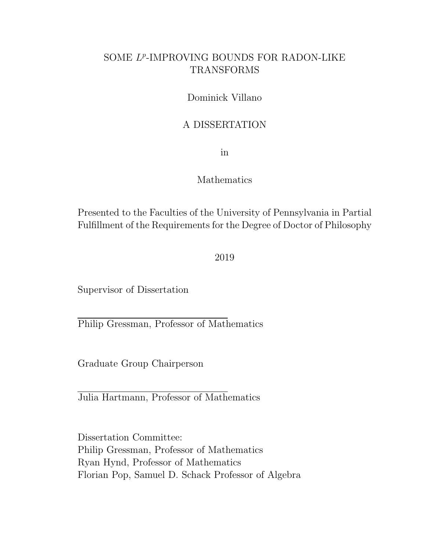### SOME  $L^p$ -IMPROVING BOUNDS FOR RADON-LIKE TRANSFORMS

Dominick Villano

#### A DISSERTATION

in

#### Mathematics

Presented to the Faculties of the University of Pennsylvania in Partial Fulfillment of the Requirements for the Degree of Doctor of Philosophy

2019

Supervisor of Dissertation

Philip Gressman, Professor of Mathematics

Graduate Group Chairperson

Julia Hartmann, Professor of Mathematics

Dissertation Committee: Philip Gressman, Professor of Mathematics Ryan Hynd, Professor of Mathematics Florian Pop, Samuel D. Schack Professor of Algebra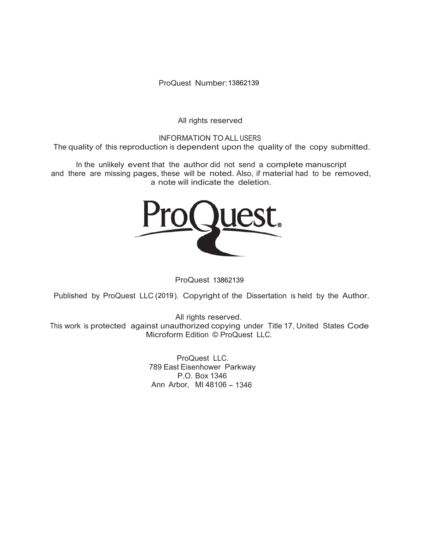ProQuest Number: 13862139

All rights reserved

INFORMATION TO ALL USERS The quality of this reproduction is dependent upon the quality of the copy submitted.

In the unlikely event that the author did not send a complete manuscript and there are missing pages, these will be noted. Also, if material had to be removed, a note will indicate the deletion.



ProQuest 13862139

Published by ProQuest LLC (2019). Copyright of the Dissertation is held by the Author.

All rights reserved. This work is protected against unauthorized copying under Title 17, United States Code Microform Edition © ProQuest LLC.

> ProQuest LLC. 789 East Eisenhower Parkway P.O. Box 1346 Ann Arbor, MI 48106 - 1346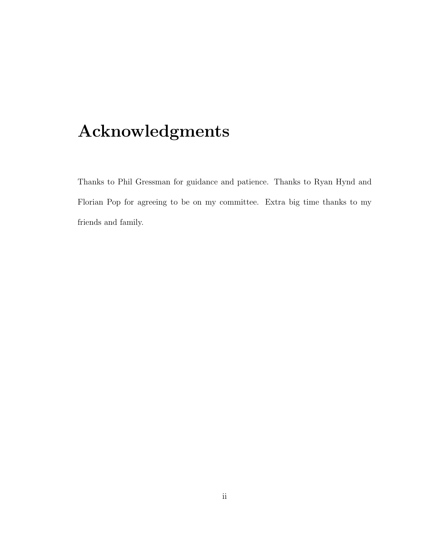# Acknowledgments

Thanks to Phil Gressman for guidance and patience. Thanks to Ryan Hynd and Florian Pop for agreeing to be on my committee. Extra big time thanks to my friends and family.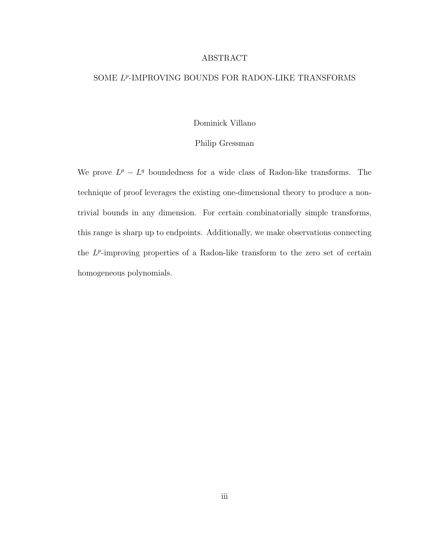#### ABSTRACT

#### SOME L<sup>P</sup>-IMPROVING BOUNDS FOR RADON-LIKE TRANSFORMS

Dominick Villano

#### Philip Gressman

We prove  $L^p - L^q$  boundedness for a wide class of Radon-like transforms. The technique of proof leverages the existing one-dimensional theory to produce a nontrivial bounds in any dimension. For certain combinatorially simple transforms, this range is sharp up to endpoints. Additionally, we make observations connecting the  $L^p$ -improving properties of a Radon-like transform to the zero set of certain homogeneous polynomials.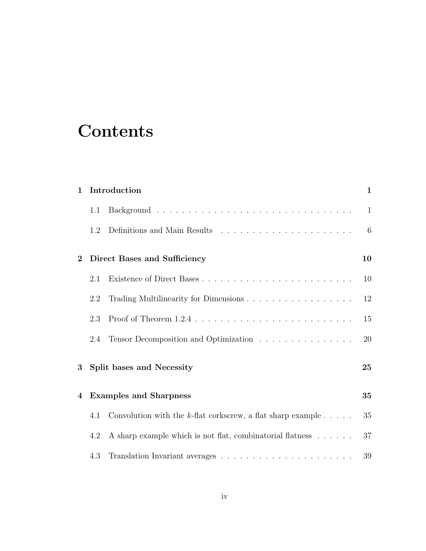## **Contents**

| $\mathbf{1}$ | Introduction                  |                                                                                                                                                                                                                               |              |  |  |  |  |
|--------------|-------------------------------|-------------------------------------------------------------------------------------------------------------------------------------------------------------------------------------------------------------------------------|--------------|--|--|--|--|
|              | 1.1                           |                                                                                                                                                                                                                               | $\mathbf{1}$ |  |  |  |  |
|              | 1.2                           | Definitions and Main Results entering the set of the set of the set of the set of the set of the set of the set of the set of the set of the set of the set of the set of the set of the set of the set of the set of the set | 6            |  |  |  |  |
| $\bf{2}$     |                               | Direct Bases and Sufficiency                                                                                                                                                                                                  | 10           |  |  |  |  |
|              | 2.1                           |                                                                                                                                                                                                                               | 10           |  |  |  |  |
|              | 2.2                           | Trading Multilinearity for Dimensions                                                                                                                                                                                         | 12           |  |  |  |  |
|              | 2.3                           |                                                                                                                                                                                                                               | 15           |  |  |  |  |
|              | 2.4                           | Tensor Decomposition and Optimization                                                                                                                                                                                         | 20           |  |  |  |  |
| 3            |                               | Split bases and Necessity                                                                                                                                                                                                     |              |  |  |  |  |
| 4            | <b>Examples and Sharpness</b> |                                                                                                                                                                                                                               |              |  |  |  |  |
|              | 4.1                           | Convolution with the k-flat corkscrew, a flat sharp example $\dots$ .                                                                                                                                                         | 35           |  |  |  |  |
|              | 4.2                           | A sharp example which is not flat, combinatorial flatness                                                                                                                                                                     | 37           |  |  |  |  |
|              | 4.3                           |                                                                                                                                                                                                                               | 39           |  |  |  |  |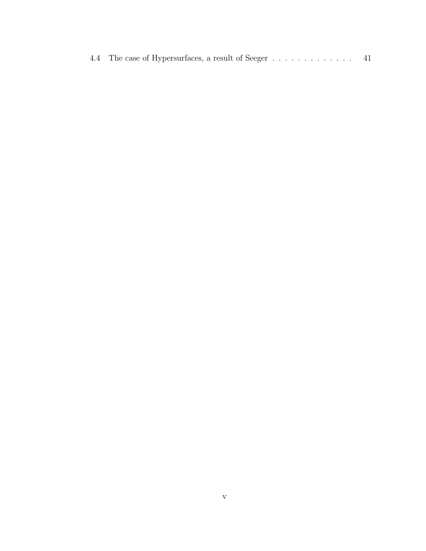|  | 4.4 The case of Hypersurfaces, a result of Seeger |  |  |  |  |  |  |  |  |
|--|---------------------------------------------------|--|--|--|--|--|--|--|--|
|  |                                                   |  |  |  |  |  |  |  |  |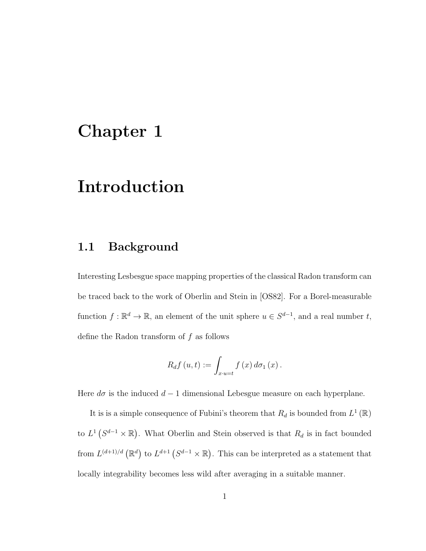### Chapter 1

### Introduction

#### 1.1 Background

Interesting Lesbesgue space mapping properties of the classical Radon transform can be traced back to the work of Oberlin and Stein in [OS82]. For a Borel-measurable function  $f: \mathbb{R}^d \to \mathbb{R}$ , an element of the unit sphere  $u \in S^{d-1}$ , and a real number t, define the Radon transform of  $f$  as follows

$$
R_{d}f(u,t) := \int_{x\cdot u=t} f(x) d\sigma_1(x).
$$

Here  $d\sigma$  is the induced  $d-1$  dimensional Lebesgue measure on each hyperplane.

It is is a simple consequence of Fubini's theorem that  $R_d$  is bounded from  $L^1(\mathbb{R})$ to  $L^1(S^{d-1}\times\mathbb{R})$ . What Oberlin and Stein observed is that  $R_d$  is in fact bounded from  $L^{(d+1)/d}(\mathbb{R}^d)$  to  $L^{d+1}(S^{d-1}\times\mathbb{R})$ . This can be interpreted as a statement that locally integrability becomes less wild after averaging in a suitable manner.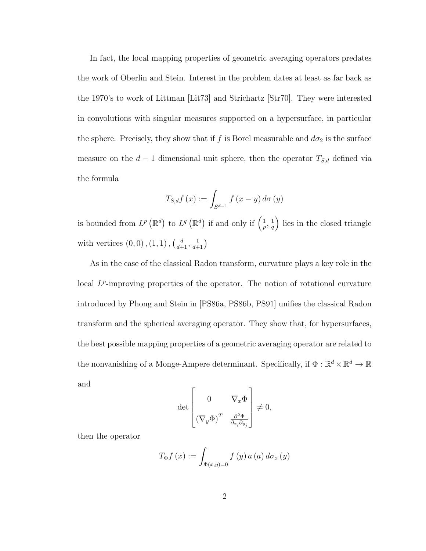In fact, the local mapping properties of geometric averaging operators predates the work of Oberlin and Stein. Interest in the problem dates at least as far back as the 1970's to work of Littman [Lit73] and Strichartz [Str70]. They were interested in convolutions with singular measures supported on a hypersurface, in particular the sphere. Precisely, they show that if f is Borel measurable and  $d\sigma_2$  is the surface measure on the  $d-1$  dimensional unit sphere, then the operator  $T_{S,d}$  defined via the formula

$$
T_{S,d}f(x) := \int_{S^{d-1}} f(x - y) d\sigma(y)
$$

is bounded from  $L^p(\mathbb{R}^d)$  to  $L^q(\mathbb{R}^d)$  if and only if  $\left(\frac{1}{n}\right)$  $\frac{1}{p}, \frac{1}{q}$  $\left(\frac{1}{q}\right)$  lies in the closed triangle with vertices  $(0,0)$ ,  $(1, 1)$ ,  $\left(\frac{d}{d+1}, \frac{1}{d+1}\right)$ 

As in the case of the classical Radon transform, curvature plays a key role in the local  $L^p$ -improving properties of the operator. The notion of rotational curvature introduced by Phong and Stein in [PS86a, PS86b, PS91] unifies the classical Radon transform and the spherical averaging operator. They show that, for hypersurfaces, the best possible mapping properties of a geometric averaging operator are related to the nonvanishing of a Monge-Ampere determinant. Specifically, if  $\Phi : \mathbb{R}^d \times \mathbb{R}^d \to \mathbb{R}$ and

$$
\det \begin{bmatrix} 0 & \nabla_x \Phi \\ (\nabla_y \Phi)^T & \frac{\partial^2 \Phi}{\partial_{x_i} \partial_{y_j}} \end{bmatrix} \neq 0,
$$

then the operator

$$
T_{\Phi}f\left(x\right) := \int_{\Phi(x,y)=0} f\left(y\right) a\left(a\right) d\sigma_x\left(y\right)
$$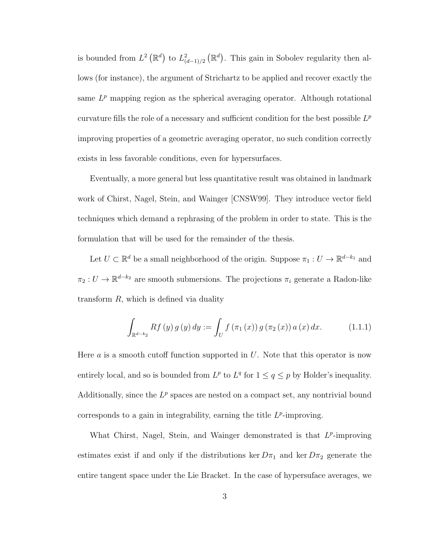is bounded from  $L^2(\mathbb{R}^d)$  to  $L^2_{(d-1)/2}(\mathbb{R}^d)$ . This gain in Sobolev regularity then allows (for instance), the argument of Strichartz to be applied and recover exactly the same  $L^p$  mapping region as the spherical averaging operator. Although rotational curvature fills the role of a necessary and sufficient condition for the best possible  $L^p$ improving properties of a geometric averaging operator, no such condition correctly exists in less favorable conditions, even for hypersurfaces.

Eventually, a more general but less quantitative result was obtained in landmark work of Chirst, Nagel, Stein, and Wainger [CNSW99]. They introduce vector field techniques which demand a rephrasing of the problem in order to state. This is the formulation that will be used for the remainder of the thesis.

Let  $U \subset \mathbb{R}^d$  be a small neighborhood of the origin. Suppose  $\pi_1: U \to \mathbb{R}^{d-k_1}$  and  $\pi_2: U \to \mathbb{R}^{d-k_2}$  are smooth submersions. The projections  $\pi_i$  generate a Radon-like transform  $R$ , which is defined via duality

$$
\int_{\mathbb{R}^{d-k_2}} Rf(y) g(y) dy := \int_U f(\pi_1(x)) g(\pi_2(x)) a(x) dx.
$$
 (1.1.1)

Here  $a$  is a smooth cutoff function supported in  $U$ . Note that this operator is now entirely local, and so is bounded from  $L^p$  to  $L^q$  for  $1 \le q \le p$  by Holder's inequality. Additionally, since the  $L^p$  spaces are nested on a compact set, any nontrivial bound corresponds to a gain in integrability, earning the title  $L^p$ -improving.

What Chirst, Nagel, Stein, and Wainger demonstrated is that  $L^p$ -improving estimates exist if and only if the distributions ker  $D\pi_1$  and ker  $D\pi_2$  generate the entire tangent space under the Lie Bracket. In the case of hypersuface averages, we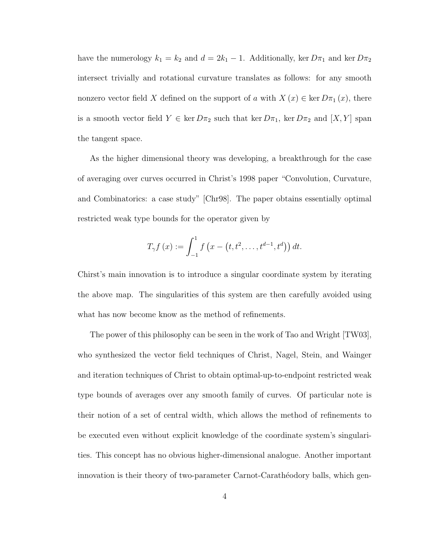have the numerology  $k_1 = k_2$  and  $d = 2k_1 - 1$ . Additionally, ker  $D\pi_1$  and ker  $D\pi_2$ intersect trivially and rotational curvature translates as follows: for any smooth nonzero vector field X defined on the support of a with  $X(x) \in \text{ker } D\pi_1(x)$ , there is a smooth vector field  $Y \in \text{ker } D\pi_2$  such that  $\text{ker } D\pi_1$ ,  $\text{ker } D\pi_2$  and  $[X, Y]$  span the tangent space.

As the higher dimensional theory was developing, a breakthrough for the case of averaging over curves occurred in Christ's 1998 paper "Convolution, Curvature, and Combinatorics: a case study" [Chr98]. The paper obtains essentially optimal restricted weak type bounds for the operator given by

$$
T_{\gamma}f(x) := \int_{-1}^{1} f(x - (t, t^2, \dots, t^{d-1}, t^d)) dt.
$$

Chirst's main innovation is to introduce a singular coordinate system by iterating the above map. The singularities of this system are then carefully avoided using what has now become know as the method of refinements.

The power of this philosophy can be seen in the work of Tao and Wright [TW03], who synthesized the vector field techniques of Christ, Nagel, Stein, and Wainger and iteration techniques of Christ to obtain optimal-up-to-endpoint restricted weak type bounds of averages over any smooth family of curves. Of particular note is their notion of a set of central width, which allows the method of refinements to be executed even without explicit knowledge of the coordinate system's singularities. This concept has no obvious higher-dimensional analogue. Another important innovation is their theory of two-parameter Carnot-Carathéodory balls, which gen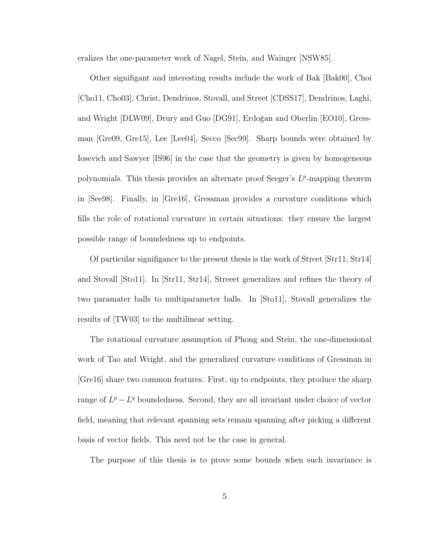eralizes the one-parameter work of Nagel, Stein, and Wainger [NSW85].

Other signifigant and interesting results include the work of Bak [Bak00], Choi [Cho11, Cho03], Christ, Dendrinos, Stovall, and Street [CDSS17], Dendrinos, Laghi, and Wright [DLW09], Drury and Guo [DG91], Erdoğan and Oberlin [EO10], Gressman [Gre09, Gre15], Lee [Lee04], Secco [Sec99]. Sharp bounds were obtained by Iosevich and Sawyer [IS96] in the case that the geometry is given by homogeneous polynomials. This thesis provides an alternate proof Seeger's  $L^p$ -mapping theorem in [See98]. Finally, in [Gre16], Gressman provides a curvature conditions which fills the role of rotational curvature in certain situations: they ensure the largest possible range of boundedness up to endpoints.

Of particular signifigance to the present thesis is the work of Street [Str11, Str14] and Stovall [Sto11]. In [Str11, Str14], Streeet generalizes and refines the theory of two paramater balls to multiparameter balls. In [Sto11], Stovall generalizes the results of [TW03] to the multilinear setting.

The rotational curvature assumption of Phong and Stein, the one-dimensional work of Tao and Wright, and the generalized curvature conditions of Gressman in [Gre16] share two common features. First, up to endpoints, they produce the sharp range of  $L^p - L^q$  boundedness. Second, they are all invariant under choice of vector field, meaning that relevant spanning sets remain spanning after picking a different basis of vector fields. This need not be the case in general.

The purpose of this thesis is to prove some bounds when such invariance is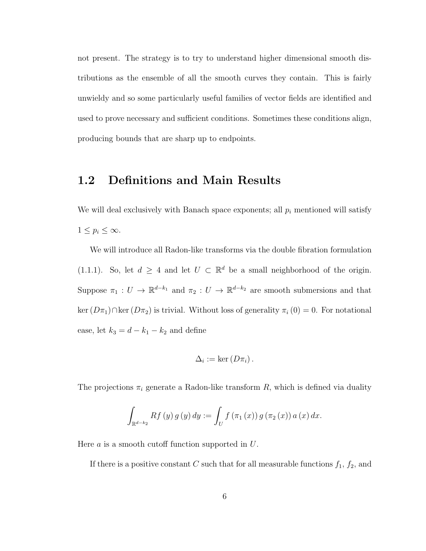not present. The strategy is to try to understand higher dimensional smooth distributions as the ensemble of all the smooth curves they contain. This is fairly unwieldy and so some particularly useful families of vector fields are identified and used to prove necessary and sufficient conditions. Sometimes these conditions align, producing bounds that are sharp up to endpoints.

#### 1.2 Definitions and Main Results

We will deal exclusively with Banach space exponents; all  $p_i$  mentioned will satisfy  $1 \leq p_i \leq \infty$ .

We will introduce all Radon-like transforms via the double fibration formulation (1.1.1). So, let  $d \geq 4$  and let  $U \subset \mathbb{R}^d$  be a small neighborhood of the origin. Suppose  $\pi_1: U \to \mathbb{R}^{d-k_1}$  and  $\pi_2: U \to \mathbb{R}^{d-k_2}$  are smooth submersions and that ker  $(D\pi_1)\cap \text{ker}(D\pi_2)$  is trivial. Without loss of generality  $\pi_i(0) = 0$ . For notational ease, let  $k_3 = d - k_1 - k_2$  and define

$$
\Delta_i := \ker\left(D\pi_i\right).
$$

The projections  $\pi_i$  generate a Radon-like transform R, which is defined via duality

$$
\int_{\mathbb{R}^{d-k_2}} Rf(y) g(y) dy := \int_U f(\pi_1(x)) g(\pi_2(x)) a(x) dx.
$$

Here  $a$  is a smooth cutoff function supported in  $U$ .

If there is a positive constant C such that for all measurable functions  $f_1$ ,  $f_2$ , and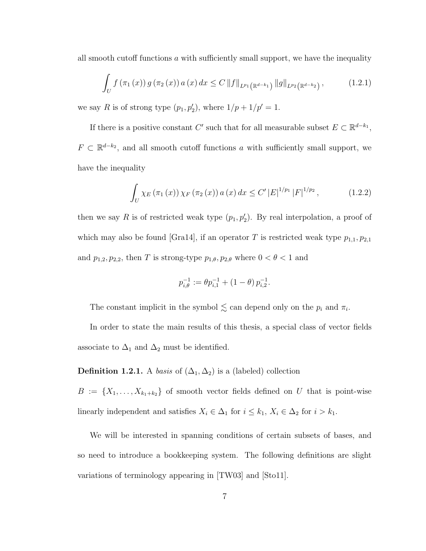all smooth cutoff functions  $\alpha$  with sufficiently small support, we have the inequality

$$
\int_{U} f(\pi_1(x)) g(\pi_2(x)) a(x) dx \leq C ||f||_{L^{p_1}(\mathbb{R}^{d-k_1})} ||g||_{L^{p_2}(\mathbb{R}^{d-k_2})},
$$
\n(1.2.1)

we say R is of strong type  $(p_1, p_2')$ , where  $1/p + 1/p' = 1$ .

If there is a positive constant C' such that for all measurable subset  $E \subset \mathbb{R}^{d-k_1}$ ,  $F \subset \mathbb{R}^{d-k_2}$ , and all smooth cutoff functions a with sufficiently small support, we have the inequality

$$
\int_{U} \chi_{E} \left( \pi_{1} \left( x \right) \right) \chi_{F} \left( \pi_{2} \left( x \right) \right) a \left( x \right) dx \leq C' \left| E \right|^{1/p_{1}} \left| F \right|^{1/p_{2}}, \tag{1.2.2}
$$

then we say R is of restricted weak type  $(p_1, p_2')$ . By real interpolation, a proof of which may also be found [Gra14], if an operator T is restricted weak type  $p_{1,1}, p_{2,1}$ and  $p_{1,2}, p_{2,2}$ , then T is strong-type  $p_{1,\theta}, p_{2,\theta}$  where  $0 < \theta < 1$  and

$$
p_{i,\theta}^{-1} := \theta p_{i,1}^{-1} + (1 - \theta) p_{i,2}^{-1}.
$$

The constant implicit in the symbol  $\lesssim$  can depend only on the  $p_i$  and  $\pi_i$ .

In order to state the main results of this thesis, a special class of vector fields associate to  $\Delta_1$  and  $\Delta_2$  must be identified.

**Definition 1.2.1.** A *basis* of  $(\Delta_1, \Delta_2)$  is a (labeled) collection

 $B := \{X_1, \ldots, X_{k_1+k_2}\}\$  of smooth vector fields defined on U that is point-wise linearly independent and satisfies  $X_i \in \Delta_1$  for  $i \leq k_1$ ,  $X_i \in \Delta_2$  for  $i > k_1$ .

We will be interested in spanning conditions of certain subsets of bases, and so need to introduce a bookkeeping system. The following definitions are slight variations of terminology appearing in [TW03] and [Sto11].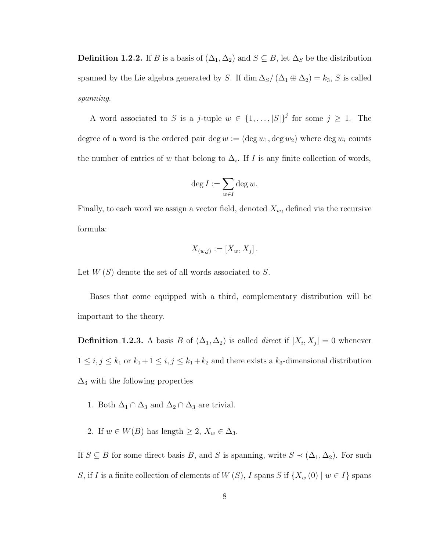**Definition 1.2.2.** If B is a basis of  $(\Delta_1, \Delta_2)$  and  $S \subseteq B$ , let  $\Delta_S$  be the distribution spanned by the Lie algebra generated by S. If dim  $\Delta_S/(\Delta_1 \oplus \Delta_2) = k_3$ , S is called spanning.

A word associated to S is a j-tuple  $w \in \{1, \ldots, |S|\}^j$  for some  $j \geq 1$ . The degree of a word is the ordered pair deg  $w := (\deg w_1, \deg w_2)$  where  $\deg w_i$  counts the number of entries of w that belong to  $\Delta_i$ . If I is any finite collection of words,

$$
\deg I := \sum_{w \in I} \deg w.
$$

Finally, to each word we assign a vector field, denoted  $X_w$ , defined via the recursive formula:

$$
X_{(w,j)} := [X_w, X_j].
$$

Let  $W(S)$  denote the set of all words associated to S.

Bases that come equipped with a third, complementary distribution will be important to the theory.

**Definition 1.2.3.** A basis B of  $(\Delta_1, \Delta_2)$  is called *direct* if  $[X_i, X_j] = 0$  whenever  $1 \le i, j \le k_1$  or  $k_1 + 1 \le i, j \le k_1 + k_2$  and there exists a  $k_3$ -dimensional distribution  $\Delta_3$  with the following properties

- 1. Both  $\Delta_1 \cap \Delta_3$  and  $\Delta_2 \cap \Delta_3$  are trivial.
- 2. If  $w \in W(B)$  has length  $\geq 2$ ,  $X_w \in \Delta_3$ .

If  $S \subseteq B$  for some direct basis B, and S is spanning, write  $S \prec (\Delta_1, \Delta_2)$ . For such S, if I is a finite collection of elements of  $W(S)$ , I spans S if  $\{X_w(0) \mid w \in I\}$  spans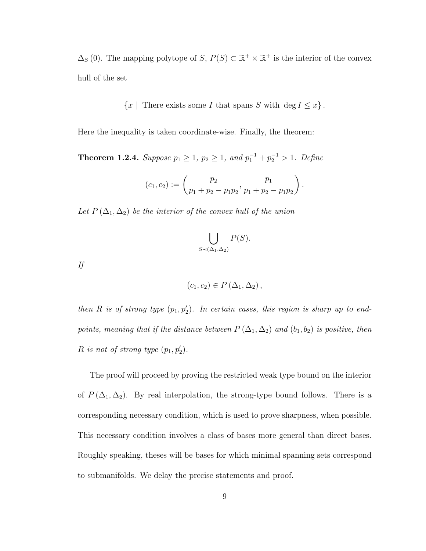$\Delta_S(0)$ . The mapping polytope of S,  $P(S) \subset \mathbb{R}^+ \times \mathbb{R}^+$  is the interior of the convex hull of the set

 ${x |$  There exists some I that spans S with  $\deg I \leq x$ .

Here the inequality is taken coordinate-wise. Finally, the theorem:

**Theorem 1.2.4.** Suppose  $p_1 \geq 1$ ,  $p_2 \geq 1$ , and  $p_1^{-1} + p_2^{-1} > 1$ . Define

$$
(c_1, c_2) := \left(\frac{p_2}{p_1 + p_2 - p_1 p_2}, \frac{p_1}{p_1 + p_2 - p_1 p_2}\right).
$$

Let  $P(\Delta_1, \Delta_2)$  be the interior of the convex hull of the union

$$
\bigcup_{S \prec (\Delta_1, \Delta_2)} P(S).
$$

If

$$
(c_1, c_2) \in P(\Delta_1, \Delta_2),
$$

then R is of strong type  $(p_1, p_2')$ . In certain cases, this region is sharp up to endpoints, meaning that if the distance between  $P(\Delta_1, \Delta_2)$  and  $(b_1, b_2)$  is positive, then R is not of strong type  $(p_1, p'_2)$ .

The proof will proceed by proving the restricted weak type bound on the interior of  $P(\Delta_1, \Delta_2)$ . By real interpolation, the strong-type bound follows. There is a corresponding necessary condition, which is used to prove sharpness, when possible. This necessary condition involves a class of bases more general than direct bases. Roughly speaking, theses will be bases for which minimal spanning sets correspond to submanifolds. We delay the precise statements and proof.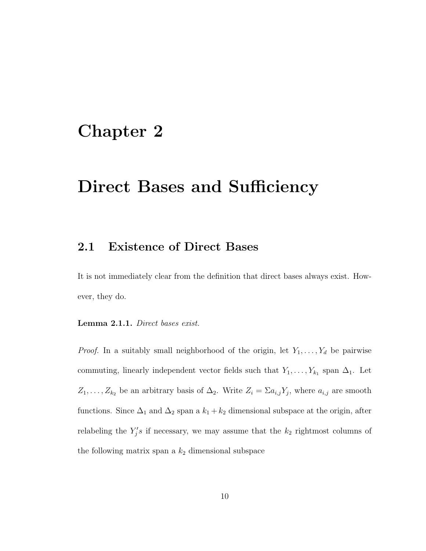### Chapter 2

### Direct Bases and Sufficiency

#### 2.1 Existence of Direct Bases

It is not immediately clear from the definition that direct bases always exist. However, they do.

Lemma 2.1.1. Direct bases exist.

*Proof.* In a suitably small neighborhood of the origin, let  $Y_1, \ldots, Y_d$  be pairwise commuting, linearly independent vector fields such that  $Y_1, \ldots, Y_{k_1}$  span  $\Delta_1$ . Let  $Z_1, \ldots, Z_{k_2}$  be an arbitrary basis of  $\Delta_2$ . Write  $Z_i = \sum a_{i,j} Y_j$ , where  $a_{i,j}$  are smooth functions. Since  $\Delta_1$  and  $\Delta_2$  span a  $k_1 + k_2$  dimensional subspace at the origin, after relabeling the  $Y_j$ 's if necessary, we may assume that the  $k_2$  rightmost columns of the following matrix span a  $k_2$  dimensional subspace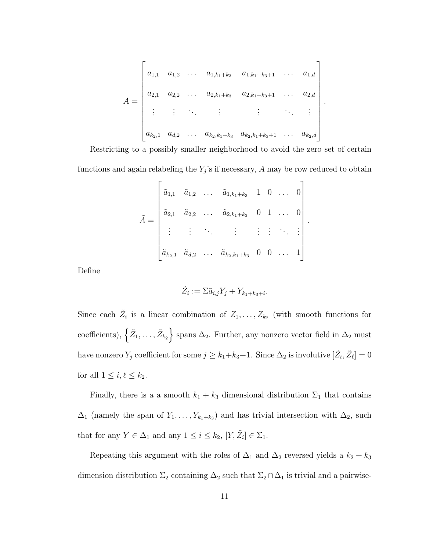$$
A = \begin{bmatrix} a_{1,1} & a_{1,2} & \dots & a_{1,k_1+k_3} & a_{1,k_1+k_3+1} & \dots & a_{1,d} \\ a_{2,1} & a_{2,2} & \dots & a_{2,k_1+k_3} & a_{2,k_1+k_3+1} & \dots & a_{2,d} \\ \vdots & \vdots & \ddots & \vdots & \vdots & \ddots & \vdots \\ a_{k_2,1} & a_{d,2} & \dots & a_{k_2,k_1+k_3} & a_{k_2,k_1+k_3+1} & \dots & a_{k_2,d} \end{bmatrix}
$$

.

.

Restricting to a possibly smaller neighborhood to avoid the zero set of certain functions and again relabeling the  $Y_j$ 's if necessary, A may be row reduced to obtain

$$
\tilde{A} = \begin{bmatrix}\n\tilde{a}_{1,1} & \tilde{a}_{1,2} & \dots & \tilde{a}_{1,k_1+k_3} & 1 & 0 & \dots & 0 \\
\tilde{a}_{2,1} & \tilde{a}_{2,2} & \dots & \tilde{a}_{2,k_1+k_3} & 0 & 1 & \dots & 0 \\
\vdots & \vdots & \ddots & \vdots & \vdots & \vdots & \ddots & \vdots \\
\tilde{a}_{k_2,1} & \tilde{a}_{d,2} & \dots & \tilde{a}_{k_2,k_1+k_3} & 0 & 0 & \dots & 1\n\end{bmatrix}
$$

Define

$$
\tilde{Z}_i := \Sigma \tilde{a}_{i,j} Y_j + Y_{k_1+k_3+i}.
$$

Since each  $\tilde{Z}_i$  is a linear combination of  $Z_1, \ldots, Z_{k_2}$  (with smooth functions for coefficients),  $\left\{ \tilde{Z}_1, \ldots, \tilde{Z}_{k_2} \right\}$  spans  $\Delta_2$ . Further, any nonzero vector field in  $\Delta_2$  must have nonzero  $Y_j$  coefficient for some  $j \geq k_1+k_3+1$ . Since  $\Delta_2$  is involutive  $[\tilde{Z}_i, \tilde{Z}_\ell] = 0$ for all  $1 \leq i, \ell \leq k_2$ .

Finally, there is a a smooth  $k_1 + k_3$  dimensional distribution  $\Sigma_1$  that contains  $\Delta_1$  (namely the span of  $Y_1, \ldots, Y_{k_1+k_3}$ ) and has trivial intersection with  $\Delta_2$ , such that for any  $Y \in \Delta_1$  and any  $1 \leq i \leq k_2$ ,  $[Y, \tilde{Z}_i] \in \Sigma_1$ .

Repeating this argument with the roles of  $\Delta_1$  and  $\Delta_2$  reversed yields a  $k_2 + k_3$ dimension distribution  $\Sigma_2$  containing  $\Delta_2$  such that  $\Sigma_2 \cap \Delta_1$  is trivial and a pairwise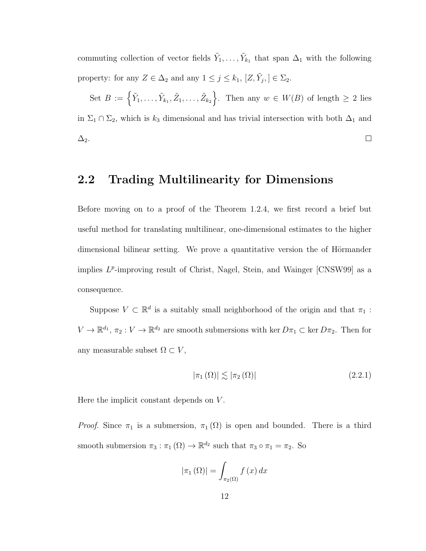commuting collection of vector fields  $\tilde{Y}_1, \ldots, \tilde{Y}_{k_1}$  that span  $\Delta_1$  with the following property: for any  $Z \in \Delta_2$  and any  $1 \leq j \leq k_1$ ,  $[Z, \tilde{Y}_j] \in \Sigma_2$ .

Set  $B := \left\{ \tilde{Y}_1, \ldots, \tilde{Y}_{k_1}, \tilde{Z}_1, \ldots, \tilde{Z}_{k_2} \right\}$ . Then any  $w \in W(B)$  of length  $\geq 2$  lies in  $\Sigma_1 \cap \Sigma_2$ , which is  $k_3$  dimensional and has trivial intersection with both  $\Delta_1$  and  $\Box$  $\Delta_2$ .

#### 2.2 Trading Multilinearity for Dimensions

Before moving on to a proof of the Theorem 1.2.4, we first record a brief but useful method for translating multilinear, one-dimensional estimates to the higher dimensional bilinear setting. We prove a quantitative version the of Hörmander implies  $L^p$ -improving result of Christ, Nagel, Stein, and Wainger [CNSW99] as a consequence.

Suppose  $V \subset \mathbb{R}^d$  is a suitably small neighborhood of the origin and that  $\pi_1$ :  $V \to \mathbb{R}^{d_1}$ ,  $\pi_2 : V \to \mathbb{R}^{d_2}$  are smooth submersions with ker  $D\pi_1 \subset \text{ker } D\pi_2$ . Then for any measurable subset  $\Omega \subset V$ ,

$$
|\pi_1(\Omega)| \lesssim |\pi_2(\Omega)| \tag{2.2.1}
$$

Here the implicit constant depends on V.

*Proof.* Since  $\pi_1$  is a submersion,  $\pi_1(\Omega)$  is open and bounded. There is a third smooth submersion  $\pi_3 : \pi_1(\Omega) \to \mathbb{R}^{d_2}$  such that  $\pi_3 \circ \pi_1 = \pi_2$ . So

$$
|\pi_1(\Omega)| = \int_{\pi_2(\Omega)} f(x) \, dx
$$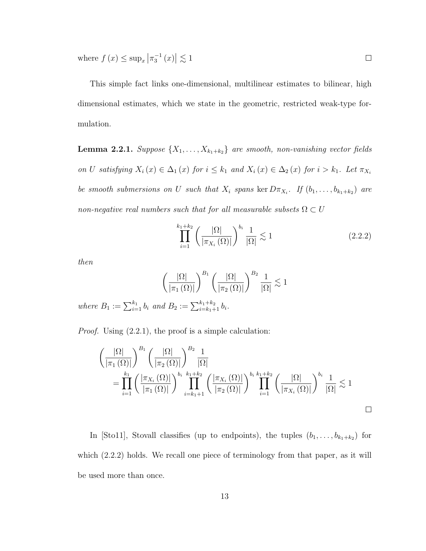where  $f(x) \leq \sup_x |\pi_3^{-1}(x)| \lesssim 1$ 

This simple fact links one-dimensional, multilinear estimates to bilinear, high dimensional estimates, which we state in the geometric, restricted weak-type formulation.

**Lemma 2.2.1.** Suppose  $\{X_1, \ldots, X_{k_1+k_2}\}\$  are smooth, non-vanishing vector fields on U satisfying  $X_i(x) \in \Delta_1(x)$  for  $i \leq k_1$  and  $X_i(x) \in \Delta_2(x)$  for  $i > k_1$ . Let  $\pi_{X_i}$ be smooth submersions on U such that  $X_i$  spans ker  $D\pi_{X_i}$ . If  $(b_1,\ldots,b_{k_1+k_2})$  are non-negative real numbers such that for all measurable subsets  $\Omega \subset U$ 

$$
\prod_{i=1}^{k_1+k_2} \left(\frac{|\Omega|}{|\pi_{X_i}(\Omega)|}\right)^{b_i} \frac{1}{|\Omega|} \lesssim 1\tag{2.2.2}
$$

 $\Box$ 

then

$$
\left(\frac{|\Omega|}{|\pi_1(\Omega)|}\right)^{B_1}\left(\frac{|\Omega|}{|\pi_2(\Omega)|}\right)^{B_2}\frac{1}{|\Omega|}\lesssim 1
$$

where  $B_1 := \sum_{i=1}^{k_1} b_i$  and  $B_2 := \sum_{i=k_1+1}^{k_1+k_2} b_i$ .

*Proof.* Using  $(2.2.1)$ , the proof is a simple calculation:

$$
\left(\frac{|\Omega|}{|\pi_1(\Omega)|}\right)^{B_1} \left(\frac{|\Omega|}{|\pi_2(\Omega)|}\right)^{B_2} \frac{1}{|\Omega|} \n= \prod_{i=1}^{k_1} \left(\frac{|\pi_{X_i}(\Omega)|}{|\pi_1(\Omega)|}\right)^{b_i} \prod_{i=k_1+1}^{k_1+k_2} \left(\frac{|\pi_{X_i}(\Omega)|}{|\pi_2(\Omega)|}\right)^{b_i} \prod_{i=1}^{k_1+k_2} \left(\frac{|\Omega|}{|\pi_{X_i}(\Omega)|}\right)^{b_i} \frac{1}{|\Omega|} \lesssim 1
$$

In [Sto11], Stovall classifies (up to endpoints), the tuples  $(b_1, \ldots, b_{k_1+k_2})$  for which  $(2.2.2)$  holds. We recall one piece of terminology from that paper, as it will be used more than once.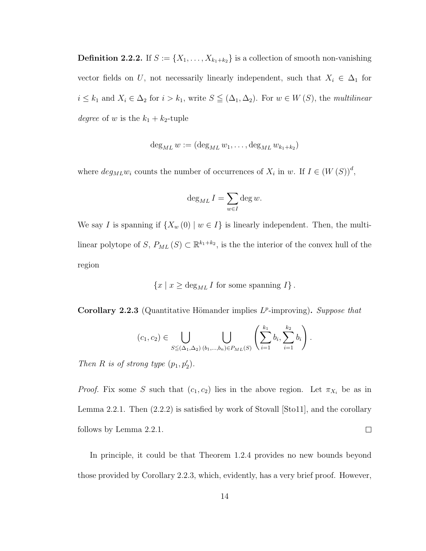**Definition 2.2.2.** If  $S := \{X_1, \ldots, X_{k_1+k_2}\}\$ is a collection of smooth non-vanishing vector fields on U, not necessarily linearly independent, such that  $X_i \in \Delta_1$  for  $i \leq k_1$  and  $X_i \in \Delta_2$  for  $i > k_1$ , write  $S \leq (\Delta_1, \Delta_2)$ . For  $w \in W(S)$ , the multilinear degree of w is the  $k_1 + k_2$ -tuple

$$
\deg_{ML} w := (\deg_{ML} w_1, \dots, \deg_{ML} w_{k_1+k_2})
$$

where  $deg_{ML}w_i$  counts the number of occurrences of  $X_i$  in w. If  $I \in (W(S))^d$ ,

$$
\deg_{ML} I = \sum_{w \in I} \deg w.
$$

We say I is spanning if  $\{X_w(0) \mid w \in I\}$  is linearly independent. Then, the multilinear polytope of S,  $P_{ML}(S) \subset \mathbb{R}^{k_1+k_2}$ , is the the interior of the convex hull of the region

$$
\{x \mid x \ge \deg_{ML} I \text{ for some spanning } I\}.
$$

Corollary 2.2.3 (Quantitative Hömander implies  $L^p$ -improving). Suppose that

$$
(c_1, c_2) \in \bigcup_{S \subseteq (\Delta_1, \Delta_2) (b_1, \ldots, b_n) \in P_{ML}(S)} \left( \sum_{i=1}^{k_1} b_i, \sum_{i=1}^{k_2} b_i \right).
$$

Then R is of strong type  $(p_1, p'_2)$ .

*Proof.* Fix some S such that  $(c_1, c_2)$  lies in the above region. Let  $\pi_{X_i}$  be as in Lemma 2.2.1. Then (2.2.2) is satisfied by work of Stovall [Sto11], and the corollary  $\Box$ follows by Lemma 2.2.1.

In principle, it could be that Theorem 1.2.4 provides no new bounds beyond those provided by Corollary 2.2.3, which, evidently, has a very brief proof. However,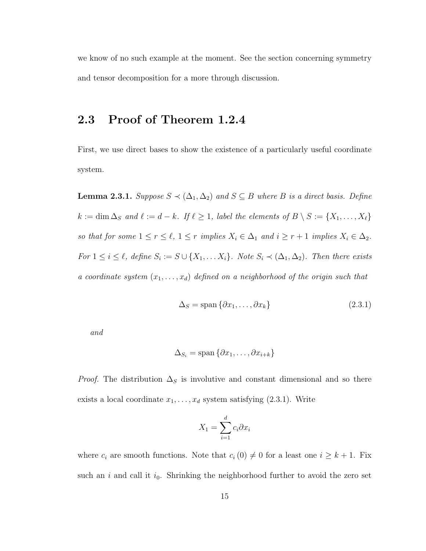we know of no such example at the moment. See the section concerning symmetry and tensor decomposition for a more through discussion.

#### 2.3 Proof of Theorem 1.2.4

First, we use direct bases to show the existence of a particularly useful coordinate system.

**Lemma 2.3.1.** Suppose  $S \prec (\Delta_1, \Delta_2)$  and  $S \subseteq B$  where B is a direct basis. Define  $k := \dim \Delta_S$  and  $\ell := d - k$ . If  $\ell \geq 1$ , label the elements of  $B \setminus S := \{X_1, \ldots, X_\ell\}$ so that for some  $1 \le r \le \ell$ ,  $1 \le r$  implies  $X_i \in \Delta_1$  and  $i \ge r + 1$  implies  $X_i \in \Delta_2$ . For  $1 \leq i \leq \ell$ , define  $S_i := S \cup \{X_1, \ldots X_i\}$ . Note  $S_i \prec (\Delta_1, \Delta_2)$ . Then there exists a coordinate system  $(x_1, \ldots, x_d)$  defined on a neighborhood of the origin such that

$$
\Delta_S = \text{span}\{\partial x_1, \dots, \partial x_k\} \tag{2.3.1}
$$

and

$$
\Delta_{S_i} = \text{span} \left\{ \partial x_1, \dots, \partial x_{i+k} \right\}
$$

*Proof.* The distribution  $\Delta_S$  is involutive and constant dimensional and so there exists a local coordinate  $x_1, \ldots, x_d$  system satisfying (2.3.1). Write

$$
X_1 = \sum_{i=1}^d c_i \partial x_i
$$

where  $c_i$  are smooth functions. Note that  $c_i (0) \neq 0$  for a least one  $i \geq k + 1$ . Fix such an  $i$  and call it  $i_0$ . Shrinking the neighborhood further to avoid the zero set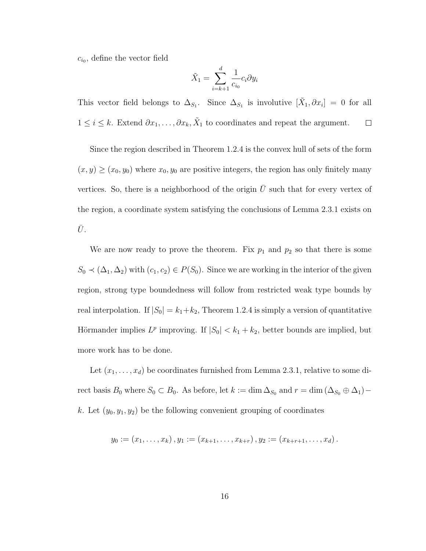$c_{i_0}$ , define the vector field

$$
\tilde{X}_1 = \sum_{i=k+1}^d \frac{1}{c_{i_0}} c_i \partial y_i
$$

This vector field belongs to  $\Delta_{S_1}$ . Since  $\Delta_{S_1}$  is involutive  $[\tilde{X}_1, \partial x_i] = 0$  for all  $1 \leq i \leq k$ . Extend  $\partial x_1, \ldots, \partial x_k, \tilde{X}_1$  to coordinates and repeat the argument.  $\Box$ 

Since the region described in Theorem 1.2.4 is the convex hull of sets of the form  $(x, y) \ge (x_0, y_0)$  where  $x_0, y_0$  are positive integers, the region has only finitely many vertices. So, there is a neighborhood of the origin  $\bar{U}$  such that for every vertex of the region, a coordinate system satisfying the conclusions of Lemma 2.3.1 exists on  $\bar{U}.$ 

We are now ready to prove the theorem. Fix  $p_1$  and  $p_2$  so that there is some  $S_0 \prec (\Delta_1, \Delta_2)$  with  $(c_1, c_2) \in P(S_0)$ . Since we are working in the interior of the given region, strong type boundedness will follow from restricted weak type bounds by real interpolation. If  $|S_0| = k_1 + k_2$ , Theorem 1.2.4 is simply a version of quantitative Hörmander implies  $L^p$  improving. If  $|S_0| < k_1 + k_2$ , better bounds are implied, but more work has to be done.

Let  $(x_1, \ldots, x_d)$  be coordinates furnished from Lemma 2.3.1, relative to some direct basis  $B_0$  where  $S_0 \subset B_0$ . As before, let  $k := \dim \Delta_{S_0}$  and  $r = \dim (\Delta_{S_0} \oplus \Delta_1)$ k. Let  $(y_0, y_1, y_2)$  be the following convenient grouping of coordinates

$$
y_0 := (x_1, \ldots, x_k), y_1 := (x_{k+1}, \ldots, x_{k+r}), y_2 := (x_{k+r+1}, \ldots, x_d).
$$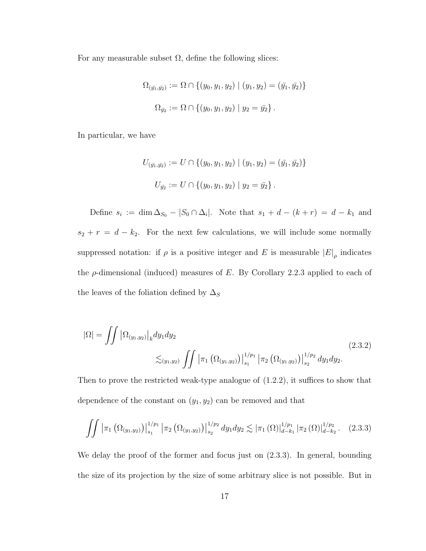For any measurable subset  $\Omega$ , define the following slices:

$$
\Omega_{(\bar{y_1}, \bar{y_2})} := \Omega \cap \{ (y_0, y_1, y_2) \mid (y_1, y_2) = (\bar{y_1}, \bar{y_2}) \}
$$
  

$$
\Omega_{\bar{y_2}} := \Omega \cap \{ (y_0, y_1, y_2) \mid y_2 = \bar{y_2} \}.
$$

In particular, we have

$$
U_{(\bar{y_1}, \bar{y_2})} := U \cap \{ (y_0, y_1, y_2) \mid (y_1, y_2) = (\bar{y_1}, \bar{y_2}) \}
$$
  

$$
U_{\bar{y_2}} := U \cap \{ (y_0, y_1, y_2) \mid y_2 = \bar{y_2} \}.
$$

Define  $s_i := \dim \Delta_{S_0} - |S_0 \cap \Delta_i|$ . Note that  $s_1 + d - (k + r) = d - k_1$  and  $s_2 + r = d - k_2$ . For the next few calculations, we will include some normally suppressed notation: if  $\rho$  is a positive integer and E is measurable  $|E|_{\rho}$  indicates the  $\rho$ -dimensional (induced) measures of E. By Corollary 2.2.3 applied to each of the leaves of the foliation defined by  $\Delta_S$ 

$$
|\Omega| = \iint \left| \Omega_{(y_1, y_2)} \right|_k dy_1 dy_2
$$
\n
$$
\lesssim_{(y_1, y_2)} \iint \left| \pi_1 \left( \Omega_{(y_1, y_2)} \right) \right|_{s_1}^{1/p_1} \left| \pi_2 \left( \Omega_{(y_1, y_2)} \right) \right|_{s_2}^{1/p_2} dy_1 dy_2.
$$
\n(2.3.2)

Then to prove the restricted weak-type analogue of (1.2.2), it suffices to show that dependence of the constant on  $(y_1, y_2)$  can be removed and that

$$
\iint \left| \pi_1 \left( \Omega_{(y_1, y_2)} \right) \right|_{s_1}^{1/p_1} \left| \pi_2 \left( \Omega_{(y_1, y_2)} \right) \right|_{s_2}^{1/p_2} dy_1 dy_2 \lesssim \left| \pi_1 \left( \Omega \right) \right|_{d-k_1}^{1/p_1} \left| \pi_2 \left( \Omega \right) \right|_{d-k_2}^{1/p_2} . \tag{2.3.3}
$$

We delay the proof of the former and focus just on  $(2.3.3)$ . In general, bounding the size of its projection by the size of some arbitrary slice is not possible. But in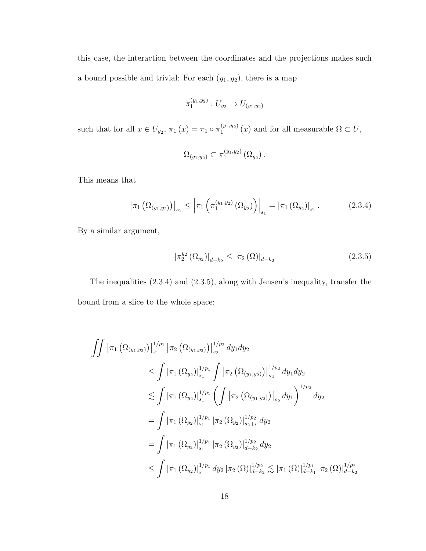this case, the interaction between the coordinates and the projections makes such a bound possible and trivial: For each  $(y_1, y_2)$ , there is a map

$$
\pi_1^{(y_1,y_2)}: U_{y_2} \to U_{(y_1,y_2)}
$$

such that for all  $x \in U_{y_2}, \pi_1(x) = \pi_1 \circ \pi_1^{(y_1, y_2)}$  $1^{(y_1,y_2)}(x)$  and for all measurable  $\Omega \subset U$ ,

$$
\Omega_{(y_1,y_2)} \subset \pi_1^{(y_1,y_2)} (\Omega_{y_2}).
$$

This means that

$$
\left|\pi_1\left(\Omega_{(y_1,y_2)}\right)\right|_{s_1} \le \left|\pi_1\left(\pi_1^{(y_1,y_2)}\left(\Omega_{y_2}\right)\right)\right|_{s_1} = \left|\pi_1\left(\Omega_{y_2}\right)\right|_{s_1}.\tag{2.3.4}
$$

By a similar argument,

$$
|\pi_2^{y_2}(\Omega_{y_2})|_{d-k_2} \le |\pi_2(\Omega)|_{d-k_2}
$$
\n(2.3.5)

The inequalities (2.3.4) and (2.3.5), along with Jensen's inequality, transfer the bound from a slice to the whole space:

$$
\iint \left| \pi_1 \left( \Omega_{(y_1, y_2)} \right) \right|_{s_1}^{1/p_1} \left| \pi_2 \left( \Omega_{(y_1, y_2)} \right) \right|_{s_2}^{1/p_2} dy_1 dy_2
$$
\n
$$
\leq \int \left| \pi_1 \left( \Omega_{y_2} \right) \right|_{s_1}^{1/p_1} \int \left| \pi_2 \left( \Omega_{(y_1, y_2)} \right) \right|_{s_2}^{1/p_2} dy_1 dy_2
$$
\n
$$
\lesssim \int \left| \pi_1 \left( \Omega_{y_2} \right) \right|_{s_1}^{1/p_1} \left( \int \left| \pi_2 \left( \Omega_{(y_1, y_2)} \right) \right|_{s_2} dy_1 \right)^{1/p_2} dy_2
$$
\n
$$
= \int \left| \pi_1 \left( \Omega_{y_2} \right) \right|_{s_1}^{1/p_1} \left| \pi_2 \left( \Omega_{y_2} \right) \right|_{s_2 + r}^{1/p_2} dy_2
$$
\n
$$
= \int \left| \pi_1 \left( \Omega_{y_2} \right) \right|_{s_1}^{1/p_1} \left| \pi_2 \left( \Omega_{y_2} \right) \right|_{d - k_2}^{1/p_2} dy_2
$$
\n
$$
\leq \int \left| \pi_1 \left( \Omega_{y_2} \right) \right|_{s_1}^{1/p_1} dy_2 \left| \pi_2 \left( \Omega \right) \right|_{d - k_2}^{1/p_2} \lesssim \left| \pi_1 \left( \Omega \right) \right|_{d - k_1}^{1/p_1} \left| \pi_2 \left( \Omega \right) \right|_{d - k_2}^{1/p_2}
$$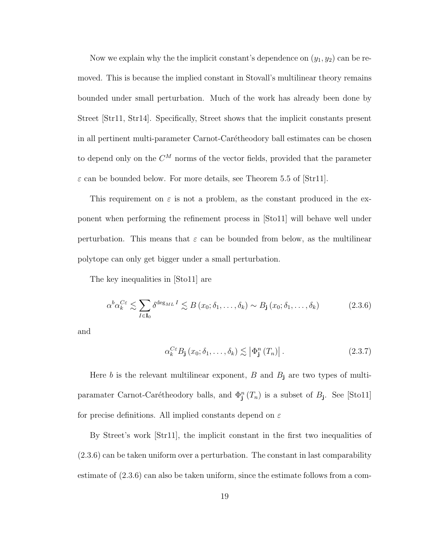Now we explain why the the implicit constant's dependence on  $(y_1, y_2)$  can be removed. This is because the implied constant in Stovall's multilinear theory remains bounded under small perturbation. Much of the work has already been done by Street [Str11, Str14]. Specifically, Street shows that the implicit constants present in all pertinent multi-parameter Carnot-Carétheodory ball estimates can be chosen to depend only on the  $C^M$  norms of the vector fields, provided that the parameter  $\varepsilon$  can be bounded below. For more details, see Theorem 5.5 of  $[Str11]$ .

This requirement on  $\varepsilon$  is not a problem, as the constant produced in the exponent when performing the refinement process in [Sto11] will behave well under perturbation. This means that  $\varepsilon$  can be bounded from below, as the multilinear polytope can only get bigger under a small perturbation.

The key inequalities in [Sto11] are

$$
\alpha^b \alpha_k^{C\varepsilon} \lesssim \sum_{I \in \mathbf{I}_0} \delta^{\deg_{ML} I} \lesssim B(x_0; \delta_1, \dots, \delta_k) \sim B_{\mathbf{j}}(x_0; \delta_1, \dots, \delta_k)
$$
(2.3.6)

and

$$
\alpha_k^{C\varepsilon} B_{\mathbf{j}}(x_0; \delta_1, \dots, \delta_k) \lesssim \left| \Phi_{\mathbf{j}}^n(T_n) \right|.
$$
 (2.3.7)

Here b is the relevant multilinear exponent,  $B$  and  $B_j$  are two types of multiparamater Carnot-Carétheodory balls, and  $\Phi_{\mathbf{j}}^n(T_n)$  is a subset of  $B_{\mathbf{j}}$ . See [Sto11] for precise definitions. All implied constants depend on  $\varepsilon$ 

By Street's work [Str11], the implicit constant in the first two inequalities of (2.3.6) can be taken uniform over a perturbation. The constant in last comparability estimate of (2.3.6) can also be taken uniform, since the estimate follows from a com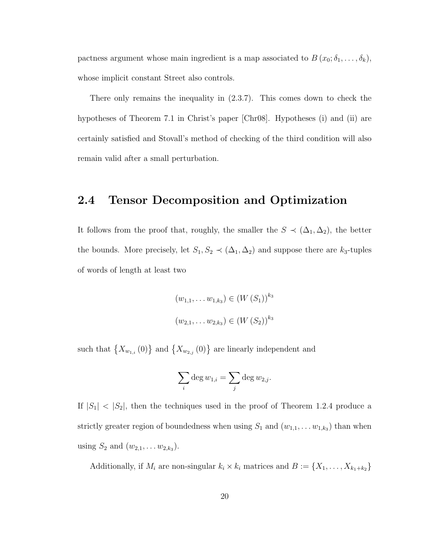pactness argument whose main ingredient is a map associated to  $B(x_0; \delta_1, \ldots, \delta_k)$ , whose implicit constant Street also controls.

There only remains the inequality in (2.3.7). This comes down to check the hypotheses of Theorem 7.1 in Christ's paper [Chr08]. Hypotheses (i) and (ii) are certainly satisfied and Stovall's method of checking of the third condition will also remain valid after a small perturbation.

### 2.4 Tensor Decomposition and Optimization

It follows from the proof that, roughly, the smaller the  $S \prec (\Delta_1, \Delta_2)$ , the better the bounds. More precisely, let  $S_1, S_2 \prec (\Delta_1, \Delta_2)$  and suppose there are  $k_3$ -tuples of words of length at least two

$$
(w_{1,1}, \dots w_{1,k_3}) \in (W(S_1))^{k_3}
$$
  

$$
(w_{2,1}, \dots w_{2,k_3}) \in (W(S_2))^{k_3}
$$

such that  $\{X_{w_{1,i}}(0)\}\$  and  $\{X_{w_{2,j}}(0)\}\$  are linearly independent and

$$
\sum_i \deg w_{1,i} = \sum_j \deg w_{2,j}.
$$

If  $|S_1|$  <  $|S_2|$ , then the techniques used in the proof of Theorem 1.2.4 produce a strictly greater region of boundedness when using  $S_1$  and  $(w_{1,1}, \ldots w_{1,k_3})$  than when using  $S_2$  and  $(w_{2,1}, \ldots w_{2,k_3})$ .

Additionally, if  $M_i$  are non-singular  $k_i \times k_i$  matrices and  $B := \{X_1, \ldots, X_{k_1+k_2}\}\$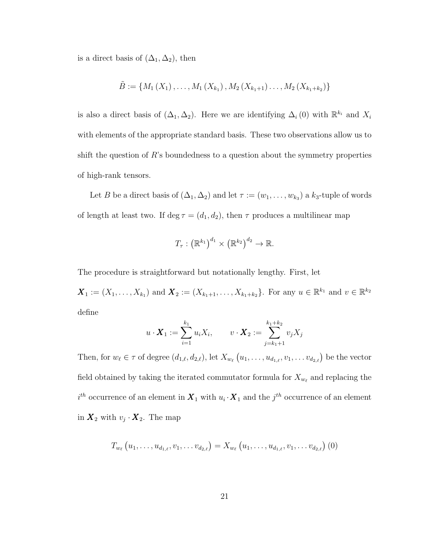is a direct basis of  $(\Delta_1, \Delta_2)$ , then

$$
\tilde{B} := \{M_1(X_1), \ldots, M_1(X_{k_1}), M_2(X_{k_1+1}), \ldots, M_2(X_{k_1+k_2})\}
$$

is also a direct basis of  $(\Delta_1, \Delta_2)$ . Here we are identifying  $\Delta_i(0)$  with  $\mathbb{R}^{k_i}$  and  $X_i$ with elements of the appropriate standard basis. These two observations allow us to shift the question of  $R$ 's boundedness to a question about the symmetry properties of high-rank tensors.

Let B be a direct basis of  $(\Delta_1, \Delta_2)$  and let  $\tau := (w_1, \ldots, w_{k_3})$  a  $k_3$ -tuple of words of length at least two. If  $\deg \tau = (d_1, d_2)$ , then  $\tau$  produces a multilinear map

$$
T_{\tau}: (\mathbb{R}^{k_1})^{d_1} \times (\mathbb{R}^{k_2})^{d_2} \to \mathbb{R}.
$$

The procedure is straightforward but notationally lengthy. First, let

 $\boldsymbol{X}_1 := (X_1, \ldots, X_{k_1})$  and  $\boldsymbol{X}_2 := (X_{k_1+1}, \ldots, X_{k_1+k_2})$ . For any  $u \in \mathbb{R}^{k_1}$  and  $v \in \mathbb{R}^{k_2}$ define

$$
u \cdot \bm{X}_1 := \sum_{i=1}^{k_1} u_i X_i, \qquad v \cdot \bm{X}_2 := \sum_{j=k_1+1}^{k_1+k_2} v_j X_j
$$

Then, for  $w_\ell \in \tau$  of degree  $(d_{1,\ell}, d_{2,\ell})$ , let  $X_{w_\ell}(u_1, \ldots, u_{d_{1,\ell}}, v_1, \ldots v_{d_{2,\ell}})$  be the vector field obtained by taking the iterated commutator formula for  $X_{w_\ell}$  and replacing the  $i^{th}$  occurrence of an element in  $X_1$  with  $u_i \cdot X_1$  and the  $j^{th}$  occurrence of an element in  $\mathbf{X}_2$  with  $v_j \cdot \mathbf{X}_2$ . The map

$$
T_{w_{\ell}}(u_1,\ldots,u_{d_{1,\ell}},v_1,\ldots v_{d_{2,\ell}})=X_{w_{\ell}}(u_1,\ldots,u_{d_{1,\ell}},v_1,\ldots v_{d_{2,\ell}})\ (0)
$$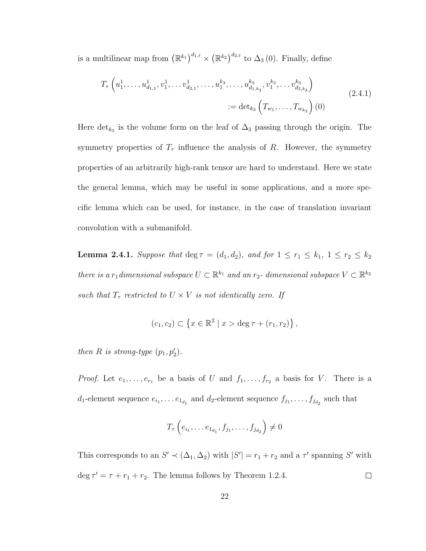is a multilinear map from  $(\mathbb{R}^{k_1})^{d_{1,\ell}} \times (\mathbb{R}^{k_2})^{d_{2,\ell}}$  to  $\Delta_3(0)$ . Finally, define

$$
T_{\tau}\left(u_1^1,\ldots,u_{d_{1,1}}^1,v_1^1,\ldots,v_{d_{2,1}}^1,\ldots,u_1^{k_3},\ldots,u_{d_{1,k_3}}^{k_3},v_1^{k_3},\ldots,v_{d_{2,k_3}}^{k_3}\right)
$$
  
 := det<sub>k<sub>3</sub></sub>  $\left(T_{w_1},\ldots,T_{w_{k_3}}\right)(0)$  (2.4.1)

Here det<sub>k<sub>3</sub></sub> is the volume form on the leaf of  $\Delta_3$  passing through the origin. The symmetry properties of  $T_{\tau}$  influence the analysis of R. However, the symmetry properties of an arbitrarily high-rank tensor are hard to understand. Here we state the general lemma, which may be useful in some applications, and a more specific lemma which can be used, for instance, in the case of translation invariant convolution with a submanifold.

**Lemma 2.4.1.** Suppose that deg  $\tau = (d_1, d_2)$ , and for  $1 \leq r_1 \leq k_1$ ,  $1 \leq r_2 \leq k_2$ there is a r<sub>1</sub> dimensional subspace  $U \subset \mathbb{R}^{k_1}$  and an r<sub>2</sub>- dimensional subspace  $V \subset \mathbb{R}^{k_2}$ such that  $T_{\tau}$  restricted to  $U\times V$  is not identically zero. If

$$
(c_1, c_2) \subset \{x \in \mathbb{R}^2 \mid x > \deg \tau + (r_1, r_2)\},\
$$

then R is strong-type  $(p_1, p'_2)$ .

*Proof.* Let  $e_1, \ldots, e_{r_1}$  be a basis of U and  $f_1, \ldots, f_{r_2}$  a basis for V. There is a  $d_1$ -element sequence  $e_{i_1}, \ldots e_{1_{d_1}}$  and  $d_2$ -element sequence  $f_{j_1}, \ldots, f_{j_{d_2}}$  such that

$$
T_{\tau}\left(e_{i_1}, \ldots e_{1_{d_1}}, f_{j_1}, \ldots, f_{j_{d_2}}\right) \neq 0
$$

This corresponds to an  $S' \prec (\Delta_1, \Delta_2)$  with  $|S'| = r_1 + r_2$  and a  $\tau'$  spanning  $S'$  with  $\deg \tau' = \tau + r_1 + r_2$ . The lemma follows by Theorem 1.2.4.  $\Box$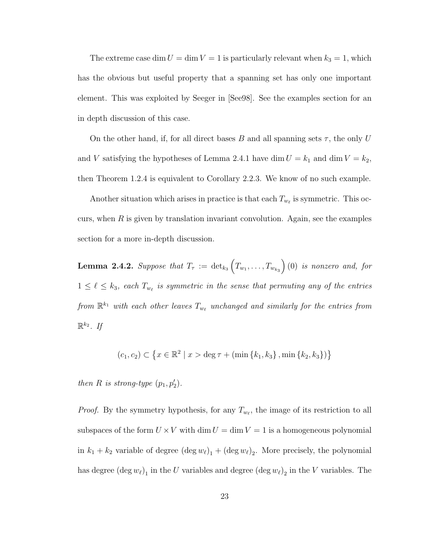The extreme case dim  $U = \dim V = 1$  is particularly relevant when  $k_3 = 1$ , which has the obvious but useful property that a spanning set has only one important element. This was exploited by Seeger in [See98]. See the examples section for an in depth discussion of this case.

On the other hand, if, for all direct bases B and all spanning sets  $\tau$ , the only U and V satisfying the hypotheses of Lemma 2.4.1 have dim  $U = k_1$  and dim  $V = k_2$ , then Theorem 1.2.4 is equivalent to Corollary 2.2.3. We know of no such example.

Another situation which arises in practice is that each  $T_{w_{\ell}}$  is symmetric. This occurs, when  $R$  is given by translation invariant convolution. Again, see the examples section for a more in-depth discussion.

 ${\bf Lemma \ \ 2.4.2.} \ \ Suppose \ \ that \ \ T_{\tau} \ := \ \det_{k_3}\Big(T_{w_1},\ldots,T_{w_{k_3}}\Big) \, (0) \ \ is \ \ nonzero \ \ and, \ \ for$  $1 \leq \ell \leq k_3$ , each  $T_{w_{\ell}}$  is symmetric in the sense that permuting any of the entries from  $\mathbb{R}^{k_1}$  with each other leaves  $T_{w_\ell}$  unchanged and similarly for the entries from  $\mathbb{R}^{k_2}$ . If

$$
(c_1, c_2) \subset \left\{ x \in \mathbb{R}^2 \mid x > \deg \tau + (\min \left\{ k_1, k_3 \right\}, \min \left\{ k_2, k_3 \right\} ) \right\}
$$

then R is strong-type  $(p_1, p'_2)$ .

*Proof.* By the symmetry hypothesis, for any  $T_{w_{\ell}}$ , the image of its restriction to all subspaces of the form  $U \times V$  with dim  $U = \dim V = 1$  is a homogeneous polynomial in  $k_1 + k_2$  variable of degree  $(\deg w_\ell)_1 + (\deg w_\ell)_2$ . More precisely, the polynomial has degree  $(\deg w_\ell)_1$  in the U variables and degree  $(\deg w_\ell)_2$  in the V variables. The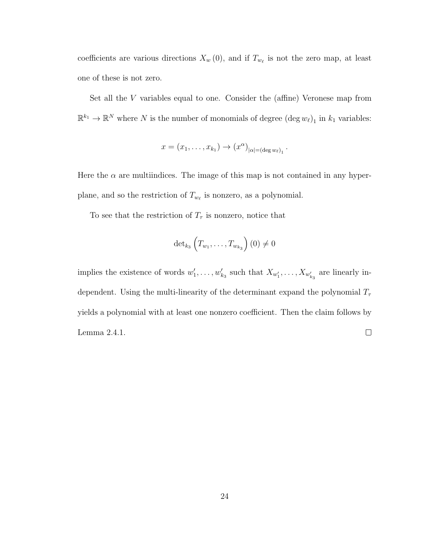coefficients are various directions  $X_w(0)$ , and if  $T_{w_\ell}$  is not the zero map, at least one of these is not zero.

Set all the V variables equal to one. Consider the (affine) Veronese map from  $\mathbb{R}^{k_1} \to \mathbb{R}^N$  where N is the number of monomials of degree  $(\deg w_\ell)_1$  in  $k_1$  variables:

$$
x = (x_1, \ldots, x_{k_1}) \rightarrow (x^{\alpha})_{|\alpha| = (\deg w_\ell)_1}
$$

.

Here the  $\alpha$  are multiindices. The image of this map is not contained in any hyperplane, and so the restriction of  $T_{w_{\ell}}$  is nonzero, as a polynomial.

To see that the restriction of  $T_{\tau}$  is nonzero, notice that

$$
\det\nolimits_{k_{3}}\left( T_{w_{1}},\ldots,T_{w_{k_{3}}}\right) (0)\neq0
$$

implies the existence of words  $w'_1, \ldots, w'_{k_3}$  such that  $X_{w'_1}, \ldots, X_{w'_{k_3}}$  are linearly independent. Using the multi-linearity of the determinant expand the polynomial  $T_{\tau}$ yields a polynomial with at least one nonzero coefficient. Then the claim follows by Lemma 2.4.1.  $\Box$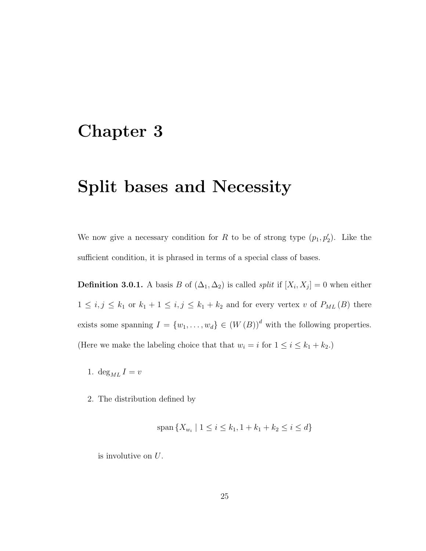### Chapter 3

### Split bases and Necessity

We now give a necessary condition for R to be of strong type  $(p_1, p'_2)$ . Like the sufficient condition, it is phrased in terms of a special class of bases.

**Definition 3.0.1.** A basis B of  $(\Delta_1, \Delta_2)$  is called *split* if  $[X_i, X_j] = 0$  when either  $1 \le i, j \le k_1$  or  $k_1 + 1 \le i, j \le k_1 + k_2$  and for every vertex v of  $P_{ML}(B)$  there exists some spanning  $I = \{w_1, \ldots, w_d\} \in (W(B))^d$  with the following properties. (Here we make the labeling choice that that  $w_i = i$  for  $1 \le i \le k_1 + k_2$ .)

- 1.  $\deg_{ML} I = v$
- 2. The distribution defined by

$$
span\{X_{w_i} \mid 1 \le i \le k_1, 1 + k_1 + k_2 \le i \le d\}
$$

is involutive on U.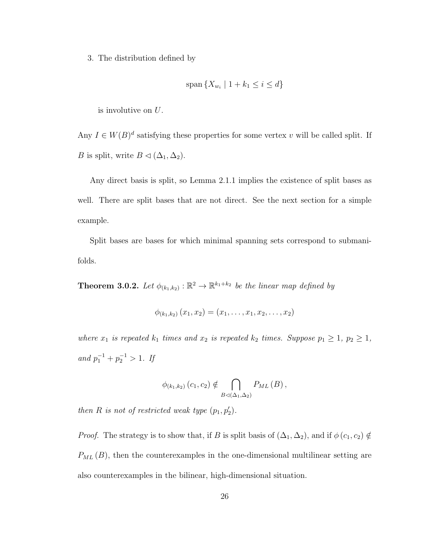3. The distribution defined by

$$
\operatorname{span}\left\{X_{w_i} \mid 1 + k_1 \le i \le d\right\}
$$

is involutive on U.

Any  $I \in W(B)^d$  satisfying these properties for some vertex v will be called split. If *B* is split, write  $B \lhd (\Delta_1, \Delta_2)$ .

Any direct basis is split, so Lemma 2.1.1 implies the existence of split bases as well. There are split bases that are not direct. See the next section for a simple example.

Split bases are bases for which minimal spanning sets correspond to submanifolds.

**Theorem 3.0.2.** Let  $\phi_{(k_1,k_2)} : \mathbb{R}^2 \to \mathbb{R}^{k_1+k_2}$  be the linear map defined by

$$
\phi_{(k_1,k_2)}(x_1,x_2)=(x_1,\ldots,x_1,x_2,\ldots,x_2)
$$

where  $x_1$  is repeated  $k_1$  times and  $x_2$  is repeated  $k_2$  times. Suppose  $p_1 \geq 1$ ,  $p_2 \geq 1$ , and  $p_1^{-1} + p_2^{-1} > 1$ . If

$$
\phi_{(k_1,k_2)}(c_1,c_2) \notin \bigcap_{B \triangleleft (\Delta_1,\Delta_2)} P_{ML}(B),
$$

then R is not of restricted weak type  $(p_1, p'_2)$ .

*Proof.* The strategy is to show that, if B is split basis of  $(\Delta_1, \Delta_2)$ , and if  $\phi$   $(c_1, c_2) \notin$  $P_{ML}(B)$ , then the counterexamples in the one-dimensional multilinear setting are also counterexamples in the bilinear, high-dimensional situation.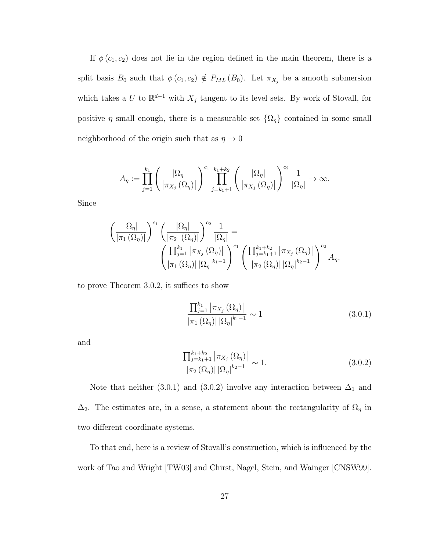If  $\phi(c_1, c_2)$  does not lie in the region defined in the main theorem, there is a split basis  $B_0$  such that  $\phi(c_1, c_2) \notin P_{ML}(B_0)$ . Let  $\pi_{X_j}$  be a smooth submersion which takes a U to  $\mathbb{R}^{d-1}$  with  $X_j$  tangent to its level sets. By work of Stovall, for positive  $\eta$  small enough, there is a measurable set  $\{\Omega_{\eta}\}\$  contained in some small neighborhood of the origin such that as  $\eta \to 0$ 

$$
A_{\eta} := \prod_{j=1}^{k_1} \left( \frac{|\Omega_{\eta}|}{\left|\pi_{X_j}(\Omega_{\eta})\right|} \right)^{c_1} \prod_{j=k_1+1}^{k_1+k_2} \left( \frac{|\Omega_{\eta}|}{\left|\pi_{X_j}(\Omega_{\eta})\right|} \right)^{c_2} \frac{1}{|\Omega_{\eta}|} \to \infty.
$$

Since

$$
\left(\frac{|\Omega_{\eta}|}{|\pi_1(\Omega_{\eta})|}\right)^{c_1} \left(\frac{|\Omega_{\eta}|}{|\pi_2(\Omega_{\eta})|}\right)^{c_2} \frac{1}{|\Omega_{\eta}|} = \left(\frac{\prod_{j=1}^{k_1} |\pi_{X_j}(\Omega_{\eta})|}{|\pi_1(\Omega_{\eta})| |\Omega_{\eta}|^{k_1-1}}\right)^{c_1} \left(\frac{\prod_{j=k_1+1}^{k_1+k_2} |\pi_{X_j}(\Omega_{\eta})|}{|\pi_2(\Omega_{\eta})| |\Omega_{\eta}|^{k_2-1}}\right)^{c_2} A_{\eta},
$$

to prove Theorem 3.0.2, it suffices to show

$$
\frac{\prod_{j=1}^{k_1} |\pi_{X_j}(\Omega_\eta)|}{|\pi_1(\Omega_\eta)| |\Omega_\eta|^{k_1 - 1}} \sim 1
$$
\n(3.0.1)

and

$$
\frac{\prod_{j=k_1+1}^{k_1+k_2} |\pi_{X_j}(\Omega_{\eta})|}{|\pi_2(\Omega_{\eta})| |\Omega_{\eta}|^{k_2-1}} \sim 1.
$$
\n(3.0.2)

Note that neither (3.0.1) and (3.0.2) involve any interaction between  $\Delta_1$  and  $\Delta_2$ . The estimates are, in a sense, a statement about the rectangularity of  $\Omega_\eta$  in two different coordinate systems.

To that end, here is a review of Stovall's construction, which is influenced by the work of Tao and Wright [TW03] and Chirst, Nagel, Stein, and Wainger [CNSW99].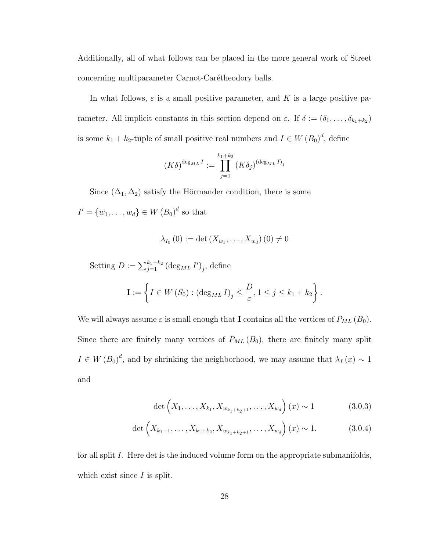Additionally, all of what follows can be placed in the more general work of Street concerning multiparameter Carnot-Carétheodory balls.

In what follows,  $\varepsilon$  is a small positive parameter, and K is a large positive parameter. All implicit constants in this section depend on  $\varepsilon$ . If  $\delta := (\delta_1, \ldots, \delta_{k_1+k_2})$ is some  $k_1 + k_2$ -tuple of small positive real numbers and  $I \in W(B_0)^d$ , define

$$
(K\delta)^{\deg_{ML}I} := \prod_{j=1}^{k_1+k_2} (K\delta_j)^{(\deg_{ML}I)_j}
$$

Since  $(\Delta_1, \Delta_2)$  satisfy the Hörmander condition, there is some

 $I' = \{w_1, \ldots, w_d\} \in W(B_0)^d$  so that

$$
\lambda_{I_0}\left(0\right) := \det\left(X_{w_1},\ldots,X_{w_d}\right)\left(0\right) \neq 0
$$

Setting  $D := \sum_{j=1}^{k_1+k_2} (\deg_{ML} I')_j$ , define

$$
\mathbf{I} := \left\{ I \in W\left(S_0\right) : \left(\deg_{ML} I\right)_j \le \frac{D}{\varepsilon}, 1 \le j \le k_1 + k_2 \right\}.
$$

We will always assume  $\varepsilon$  is small enough that **I** contains all the vertices of  $P_{ML} (B_0)$ . Since there are finitely many vertices of  $P_{ML}(B_0)$ , there are finitely many split  $I \in W(B_0)^d$ , and by shrinking the neighborhood, we may assume that  $\lambda_I(x) \sim 1$ and

$$
\det\left(X_1, \ldots, X_{k_1}, X_{w_{k_1+k_2+1}}, \ldots, X_{w_d}\right)(x) \sim 1 \tag{3.0.3}
$$

$$
\det\left(X_{k_1+1},\ldots,X_{k_1+k_2},X_{w_{k_1+k_2+1}},\ldots,X_{w_d}\right)(x) \sim 1. \tag{3.0.4}
$$

for all split I. Here det is the induced volume form on the appropriate submanifolds, which exist since  $I$  is split.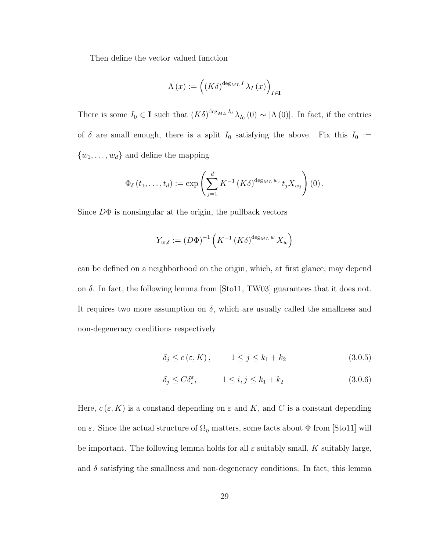Then define the vector valued function

$$
\Lambda(x) := \left( \left( K \delta \right)^{\deg_{ML} I} \lambda_I(x) \right)_{I \in \mathbf{I}}
$$

There is some  $I_0 \in \mathbf{I}$  such that  $(K\delta)^{\deg_{ML} I_0} \lambda_{I_0}(0) \sim |\Lambda(0)|$ . In fact, if the entries of  $\delta$  are small enough, there is a split  $I_0$  satisfying the above. Fix this  $I_0 :=$  $\{w_1, \ldots, w_d\}$  and define the mapping

$$
\Phi_{\delta}\left(t_{1},\ldots,t_{d}\right):=\exp\left(\sum_{j=1}^{d} K^{-1}\left(K\delta\right)^{\deg_{ML}w_{j}}t_{j}X_{w_{j}}\right)\left(0\right).
$$

Since  $D\Phi$  is nonsingular at the origin, the pullback vectors

$$
Y_{w,\delta} := (D\Phi)^{-1} \left( K^{-1} \left( K\delta \right)^{\deg_{ML} w} X_w \right)
$$

can be defined on a neighborhood on the origin, which, at first glance, may depend on  $\delta$ . In fact, the following lemma from [Sto11, TW03] guarantees that it does not. It requires two more assumption on  $\delta$ , which are usually called the smallness and non-degeneracy conditions respectively

$$
\delta_j \le c\left(\varepsilon, K\right), \qquad 1 \le j \le k_1 + k_2 \tag{3.0.5}
$$

$$
\delta_j \le C \delta_i^{\varepsilon}, \qquad 1 \le i, j \le k_1 + k_2 \tag{3.0.6}
$$

Here,  $c(\varepsilon, K)$  is a constand depending on  $\varepsilon$  and K, and C is a constant depending on  $\varepsilon$ . Since the actual structure of  $\Omega_{\eta}$  matters, some facts about  $\Phi$  from [Sto11] will be important. The following lemma holds for all  $\varepsilon$  suitably small, K suitably large, and  $\delta$  satisfying the smallness and non-degeneracy conditions. In fact, this lemma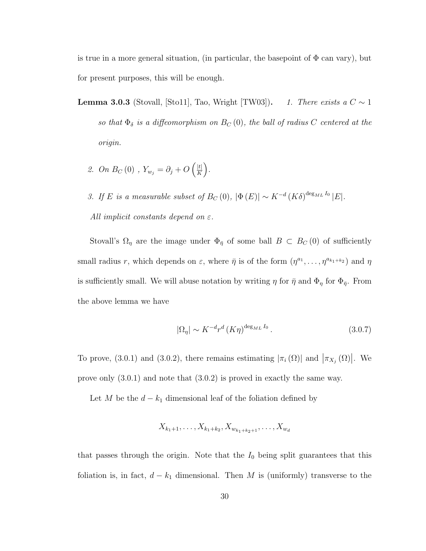is true in a more general situation, (in particular, the basepoint of  $\Phi$  can vary), but for present purposes, this will be enough.

- **Lemma 3.0.3** (Stovall, [Sto11], Tao, Wright [TW03]). 1. There exists a  $C \sim 1$ so that  $\Phi_{\delta}$  is a diffeomorphism on  $B_C(0)$ , the ball of radius C centered at the origin.
	- 2. On  $B_C(0)$  ,  $Y_{w_j} = \partial_j + O\left(\frac{|t|}{K}\right)$  $\frac{|t|}{K}$ .
	- 3. If E is a measurable subset of  $B_C(0)$ ,  $|\Phi(E)| \sim K^{-d} (K \delta)^{\deg_{ML} I_0} |E|$ . All implicit constants depend on  $\varepsilon$ .

Stovall's  $\Omega_{\eta}$  are the image under  $\Phi_{\bar{\eta}}$  of some ball  $B \subset B_C(0)$  of sufficiently small radius r, which depends on  $\varepsilon$ , where  $\bar{\eta}$  is of the form  $(\eta^{a_1}, \ldots, \eta^{a_{k_1+k_2}})$  and  $\eta$ is sufficiently small. We will abuse notation by writing  $\eta$  for  $\bar{\eta}$  and  $\Phi_{\eta}$  for  $\Phi_{\bar{\eta}}$ . From the above lemma we have

$$
|\Omega_{\eta}| \sim K^{-d} r^d \left( K \eta \right)^{\deg_{ML} I_0} . \tag{3.0.7}
$$

To prove, (3.0.1) and (3.0.2), there remains estimating  $|\pi_i(\Omega)|$  and  $|\pi_{X_j}(\Omega)|$ . We prove only (3.0.1) and note that (3.0.2) is proved in exactly the same way.

Let M be the  $d - k_1$  dimensional leaf of the foliation defined by

$$
X_{k_1+1}, \ldots, X_{k_1+k_2}, X_{w_{k_1+k_2+1}}, \ldots, X_{w_d}
$$

that passes through the origin. Note that the  $I_0$  being split guarantees that this foliation is, in fact,  $d - k_1$  dimensional. Then M is (uniformly) transverse to the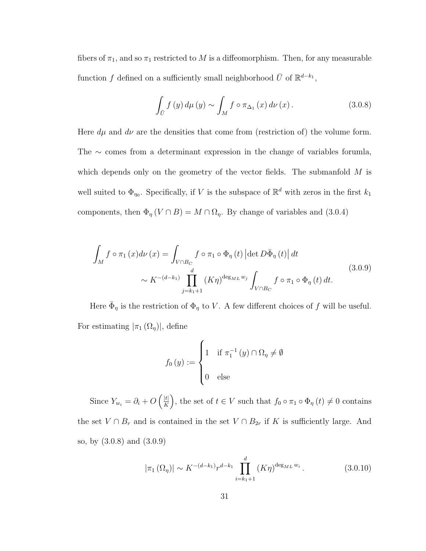fibers of  $\pi_1$ , and so  $\pi_1$  restricted to M is a diffeomorphism. Then, for any measurable function f defined on a sufficiently small neighborhood  $\bar{U}$  of  $\mathbb{R}^{d-k_1}$ ,

$$
\int_{\bar{U}} f(y) d\mu(y) \sim \int_{M} f \circ \pi_{\Delta_1}(x) d\nu(x). \tag{3.0.8}
$$

Here  $d\mu$  and  $d\nu$  are the densities that come from (restriction of) the volume form. The ∼ comes from a determinant expression in the change of variables forumla, which depends only on the geometry of the vector fields. The submanfold  $M$  is well suited to  $\Phi_{\eta_0}$ . Specifically, if V is the subspace of  $\mathbb{R}^d$  with zeros in the first  $k_1$ components, then  $\Phi_{\eta} (V \cap B) = M \cap \Omega_{\eta}$ . By change of variables and (3.0.4)

$$
\int_{M} f \circ \pi_1(x) d\nu(x) = \int_{V \cap B_C} f \circ \pi_1 \circ \Phi_{\eta}(t) \left| \det D\bar{\Phi}_{\eta}(t) \right| dt
$$
\n
$$
\sim K^{-(d-k_1)} \prod_{j=k_1+1}^{d} (K\eta)^{\deg_{ML}w_j} \int_{V \cap B_C} f \circ \pi_1 \circ \Phi_{\eta}(t) dt.
$$
\n(3.0.9)

Here  $\bar{\Phi}_{\eta}$  is the restriction of  $\Phi_{\eta}$  to V. A few different choices of f will be useful. For estimating  $|\pi_1(\Omega_\eta)|$ , define

$$
f_0(y) := \begin{cases} 1 & \text{if } \pi_1^{-1}(y) \cap \Omega_\eta \neq \emptyset \\ 0 & \text{else} \end{cases}
$$

Since  $Y_{w_i} = \partial_i + O\left(\frac{|t|}{K}\right)$  $\frac{|t|}{|K|}$ , the set of  $t \in V$  such that  $f_0 \circ \pi_1 \circ \Phi_{\eta}(t) \neq 0$  contains the set  $V \cap B_r$  and is contained in the set  $V \cap B_{2r}$  if K is sufficiently large. And so, by (3.0.8) and (3.0.9)

$$
|\pi_1(\Omega_\eta)| \sim K^{-(d-k_1)} r^{d-k_1} \prod_{i=k_1+1}^d (K\eta)^{\deg_{ML} w_i} . \tag{3.0.10}
$$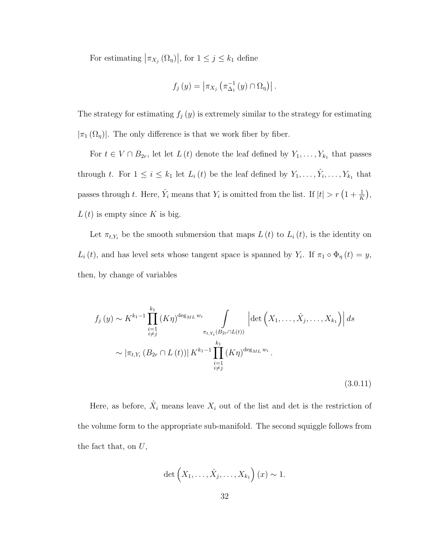For estimating  $|\pi_{X_j}(\Omega_\eta)|$ , for  $1 \leq j \leq k_1$  define

$$
f_j(y) = \left| \pi_{X_j} \left( \pi_{\Delta_1}^{-1}(y) \cap \Omega_{\eta} \right) \right|.
$$

The strategy for estimating  $f_j(y)$  is extremely similar to the strategy for estimating  $|\pi_1(\Omega_n)|$ . The only difference is that we work fiber by fiber.

For  $t \in V \cap B_{2r}$ , let let  $L(t)$  denote the leaf defined by  $Y_1, \ldots, Y_{k_1}$  that passes through t. For  $1 \leq i \leq k_1$  let  $L_i(t)$  be the leaf defined by  $Y_1, \ldots, \hat{Y}_i, \ldots, Y_{k_1}$  that passes through t. Here,  $\hat{Y}_i$  means that  $Y_i$  is omitted from the list. If  $|t| > r(1 + \frac{1}{K})$ ,  $L(t)$  is empty since K is big.

Let  $\pi_{t,Y_i}$  be the smooth submersion that maps  $L(t)$  to  $L_i(t)$ , is the identity on  $L_i(t)$ , and has level sets whose tangent space is spanned by  $Y_i$ . If  $\pi_1 \circ \Phi_{\eta}(t) = y$ , then, by change of variables

$$
f_j(y) \sim K^{k_1-1} \prod_{\substack{i=1 \ i \neq j}}^{k_1} (K\eta)^{\deg_{ML} w_i} \int_{\pi_{t, Y_i}(B_{2r} \cap L(t))} \left| \det \left( X_1, \dots, \hat{X}_j, \dots, X_{k_1} \right) \right| ds
$$
  

$$
\sim |\pi_{t, Y_i}(B_{2r} \cap L(t))| K^{k_1-1} \prod_{\substack{i=1 \ i \neq j}}^{k_1} (K\eta)^{\deg_{ML} w_i}.
$$
 (3.0.11)

Here, as before,  $\hat{X}_i$  means leave  $X_i$  out of the list and det is the restriction of the volume form to the appropriate sub-manifold. The second squiggle follows from the fact that, on  $U$ ,

$$
\det\left(X_1,\ldots,\hat{X}_j,\ldots,X_{k_1}\right)(x)\sim 1.
$$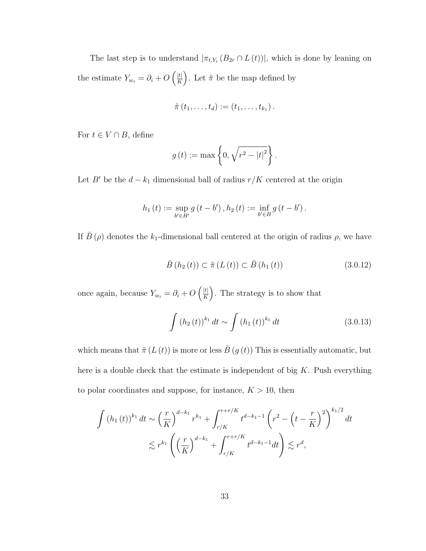The last step is to understand  $|\pi_{t,Y_i}(B_{2r} \cap L(t))|$ , which is done by leaning on the estimate  $Y_{w_i} = \partial_i + O\left(\frac{|t|}{K}\right)$  $\frac{|t|}{K}$ . Let  $\tilde{\pi}$  be the map defined by

$$
\tilde{\pi}(t_1,\ldots,t_d):=(t_1,\ldots,t_{k_1}).
$$

For  $t \in V \cap B$ , define

$$
g(t) := \max\left\{0, \sqrt{r^2 - |t|^2}\right\}.
$$

Let B' be the  $d - k_1$  dimensional ball of radius  $r/K$  centered at the origin

$$
h_1(t) := \sup_{b' \in B'} g(t - b'), h_2(t) := \inf_{b' \in B} g(t - b').
$$

If  $\bar{B}(\rho)$  denotes the k<sub>1</sub>-dimensional ball centered at the origin of radius  $\rho$ , we have

$$
\bar{B}(h_2(t)) \subset \tilde{\pi}(L(t)) \subset \bar{B}(h_1(t))
$$
\n(3.0.12)

once again, because  $Y_{w_i} = \partial_i + O\left(\frac{|t|}{K}\right)$  $\frac{|t|}{K}$ . The strategy is to show that

$$
\int (h_2(t))^{k_1} dt \sim \int (h_1(t))^{k_1} dt \qquad (3.0.13)
$$

which means that  $\tilde{\pi}(L(t))$  is more or less  $\bar{B}(g(t))$  This is essentially automatic, but here is a double check that the estimate is independent of big  $K$ . Push everything to polar coordinates and suppose, for instance,  $K > 10$ , then

$$
\int (h_1(t))^{k_1} dt \sim \left(\frac{r}{K}\right)^{d-k_1} r^{k_1} + \int_{r/K}^{r+r/K} t^{d-k_1-1} \left(r^2 - \left(t - \frac{r}{K}\right)^2\right)^{k_1/2} dt
$$
  

$$
\lesssim r^{k_1} \left(\left(\frac{r}{K}\right)^{d-k_1} + \int_{r/K}^{r+r/K} t^{d-k_1-1} dt\right) \lesssim r^d,
$$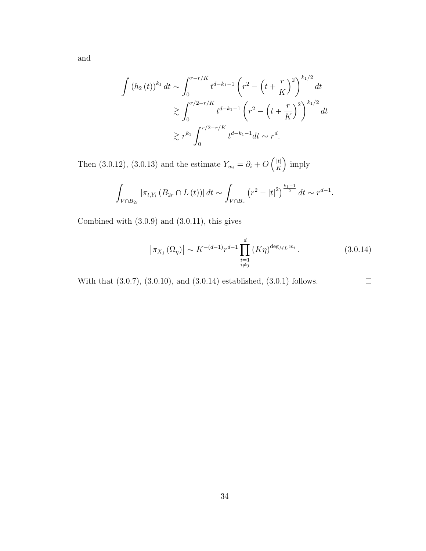and

$$
\int (h_2(t))^{k_1} dt \sim \int_0^{r-r/K} t^{d-k_1-1} \left( r^2 - \left( t + \frac{r}{K} \right)^2 \right)^{k_1/2} dt
$$
  

$$
\gtrsim \int_0^{r/2 - r/K} t^{d-k_1-1} \left( r^2 - \left( t + \frac{r}{K} \right)^2 \right)^{k_1/2} dt
$$
  

$$
\gtrsim r^{k_1} \int_0^{r/2 - r/K} t^{d-k_1-1} dt \sim r^d.
$$

Then (3.0.12), (3.0.13) and the estimate  $Y_{w_i} = \partial_i + O\left(\frac{|t|}{K}\right)$  $\frac{|t|}{K}$  imply

$$
\int_{V \cap B_{2r}} |\pi_{t,Y_i} (B_{2r} \cap L(t))| dt \sim \int_{V \cap B_r} (r^2 - |t|^2)^{\frac{k_1 - 1}{2}} dt \sim r^{d-1}.
$$

Combined with (3.0.9) and (3.0.11), this gives

$$
\left|\pi_{X_j}\left(\Omega_{\eta}\right)\right| \sim K^{-(d-1)} r^{d-1} \prod_{\substack{i=1\\i \neq j}}^d \left(K\eta\right)^{\deg_{ML} w_i}.
$$
\n(3.0.14)

 $\Box$ 

With that (3.0.7), (3.0.10), and (3.0.14) established, (3.0.1) follows.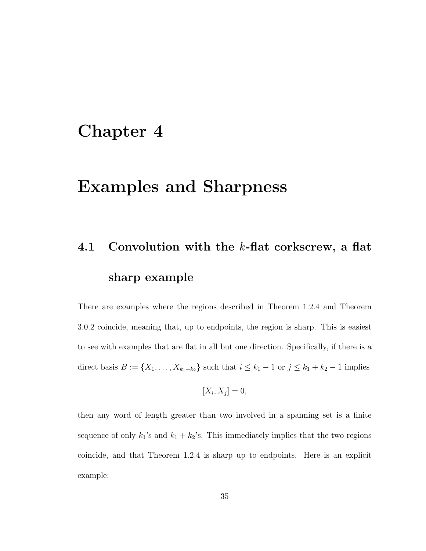### Chapter 4

### Examples and Sharpness

# 4.1 Convolution with the  $k$ -flat corkscrew, a flat sharp example

There are examples where the regions described in Theorem 1.2.4 and Theorem 3.0.2 coincide, meaning that, up to endpoints, the region is sharp. This is easiest to see with examples that are flat in all but one direction. Specifically, if there is a direct basis  $B := \{X_1, ..., X_{k_1+k_2}\}\$  such that  $i \leq k_1 - 1$  or  $j \leq k_1 + k_2 - 1$  implies

$$
[X_i, X_j] = 0,
$$

then any word of length greater than two involved in a spanning set is a finite sequence of only  $k_1$ 's and  $k_1 + k_2$ 's. This immediately implies that the two regions coincide, and that Theorem 1.2.4 is sharp up to endpoints. Here is an explicit example: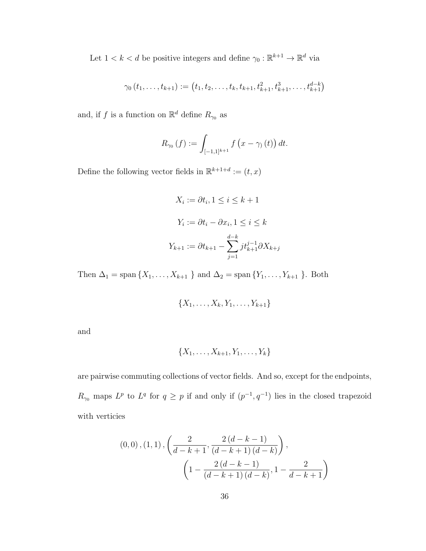Let  $1 < k < d$  be positive integers and define  $\gamma_0 : \mathbb{R}^{k+1} \to \mathbb{R}^d$  via

$$
\gamma_0(t_1,\ldots,t_{k+1}) := (t_1,t_2,\ldots,t_k,t_{k+1},t_{k+1}^2,t_{k+1}^3,\ldots,t_{k+1}^{d-k})
$$

and, if f is a function on  $\mathbb{R}^d$  define  $R_{\gamma_0}$  as

$$
R_{\gamma_0}(f) := \int_{[-1,1]^{k+1}} f(x - \gamma_0(t)) dt.
$$

Define the following vector fields in  $\mathbb{R}^{k+1+d} := (t, x)$ 

$$
X_i := \partial t_i, 1 \le i \le k + 1
$$

$$
Y_i := \partial t_i - \partial x_i, 1 \le i \le k
$$

$$
Y_{k+1} := \partial t_{k+1} - \sum_{j=1}^{d-k} j t_{k+1}^{j-1} \partial X_{k+j}
$$

Then  $\Delta_1 = \text{span} \{X_1, \ldots, X_{k+1} \}$  and  $\Delta_2 = \text{span} \{Y_1, \ldots, Y_{k+1} \}$ . Both

$$
\{X_1,\ldots,X_k,Y_1,\ldots,Y_{k+1}\}
$$

and

$$
\{X_1,\ldots,X_{k+1},Y_1,\ldots,Y_k\}
$$

are pairwise commuting collections of vector fields. And so, except for the endpoints,  $R_{\gamma_0}$  maps  $L^p$  to  $L^q$  for  $q \geq p$  if and only if  $(p^{-1}, q^{-1})$  lies in the closed trapezoid with verticies

$$
(0,0), (1,1), \left(\frac{2}{d-k+1}, \frac{2(d-k-1)}{(d-k+1)(d-k)}\right), \\ \left(1 - \frac{2(d-k-1)}{(d-k+1)(d-k)}, 1 - \frac{2}{d-k+1}\right)
$$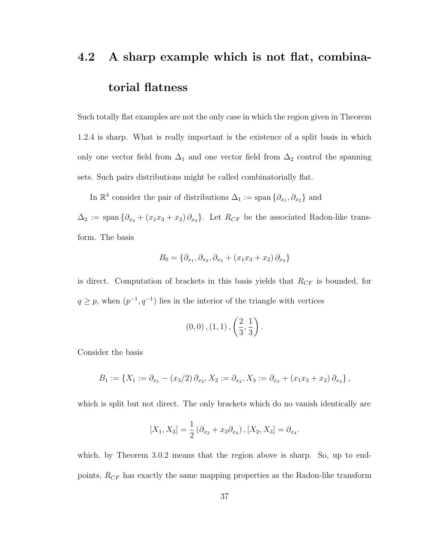# 4.2 A sharp example which is not flat, combinatorial flatness

Such totally flat examples are not the only case in which the region given in Theorem 1.2.4 is sharp. What is really important is the existence of a split basis in which only one vector field from  $\Delta_1$  and one vector field from  $\Delta_2$  control the spanning sets. Such pairs distributions might be called combinatorially flat.

In  $\mathbb{R}^4$  consider the pair of distributions  $\Delta_1 := \text{span} \{ \partial_{x_1}, \partial_{x_2} \}$  and

 $\Delta_2 := \text{span} \{ \partial_{x_3} + (x_1 x_3 + x_2) \partial_{x_4} \}.$  Let  $R_{CF}$  be the associated Radon-like transform. The basis

$$
B_0 = \{ \partial_{x_1}, \partial_{x_2}, \partial_{x_3} + (x_1 x_3 + x_2) \partial_{x_4} \}
$$

is direct. Computation of brackets in this basis yields that  $R_{CF}$  is bounded, for  $q \geq p$ , when  $(p^{-1}, q^{-1})$  lies in the interior of the triangle with vertices

$$
(0,0), (1,1), \left(\frac{2}{3}, \frac{1}{3}\right).
$$

Consider the basis

$$
B_1 := \{ X_1 := \partial_{x_1} - (x_3/2) \partial_{x_2}, X_2 := \partial_{x_2}, X_3 := \partial_{x_3} + (x_1x_3 + x_2) \partial_{x_4} \},
$$

which is split but not direct. The only brackets which do no vanish identically are

$$
[X_1, X_3] = \frac{1}{2} (\partial_{x_2} + x_3 \partial_{x_4}), [X_2, X_3] = \partial_{x_4}.
$$

which, by Theorem 3.0.2 means that the region above is sharp. So, up to endpoints,  $R_{CF}$  has exactly the same mapping properties as the Radon-like transform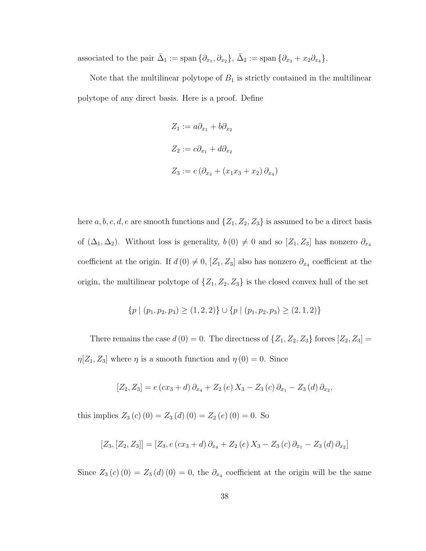associated to the pair  $\bar{\Delta}_1 := \text{span} \{ \partial_{x_1}, \partial_{x_2} \}, \bar{\Delta}_2 := \text{span} \{ \partial_{x_3} + x_2 \partial_{x_4} \}.$ 

Note that the multilinear polytope of  $B_1$  is strictly contained in the multilinear polytope of any direct basis. Here is a proof. Define

$$
Z_1 := a\partial_{x_1} + b\partial_{x_2}
$$
  
\n
$$
Z_2 := c\partial_{x_1} + d\partial_{x_2}
$$
  
\n
$$
Z_3 := e(\partial_{x_3} + (x_1x_3 + x_2)\partial_{x_4})
$$

here a, b, c, d, e are smooth functions and  $\{Z_1, Z_2, Z_3\}$  is assumed to be a direct basis of  $(\Delta_1, \Delta_2)$ . Without loss is generality,  $b(0) \neq 0$  and so  $[Z_1, Z_3]$  has nonzero  $\partial_{x_4}$ coefficient at the origin. If  $d(0) \neq 0$ ,  $[Z_1, Z_3]$  also has nonzero  $\partial_{x_4}$  coefficient at the origin, the multilinear polytope of  $\{Z_1, Z_2, Z_3\}$  is the closed convex hull of the set

$$
\{p \mid (p_1, p_2, p_3) \ge (1, 2, 2)\} \cup \{p \mid (p_1, p_2, p_3) \ge (2, 1, 2)\}
$$

There remains the case  $d(0) = 0$ . The directness of  $\{Z_1, Z_2, Z_3\}$  forces  $[Z_2, Z_3] =$  $\eta[Z_1, Z_3]$  where  $\eta$  is a smooth function and  $\eta(0) = 0$ . Since

$$
[Z_2, Z_3] = e (cx_3 + d) \partial_{x_4} + Z_2 (e) X_3 - Z_3 (c) \partial_{x_1} - Z_3 (d) \partial_{x_2},
$$

this implies  $Z_3(c)(0) = Z_3(d)(0) = Z_2(e)(0) = 0$ . So

$$
[Z_3,[Z_2,Z_3]] = [Z_3,e(cx_3+d)\partial_{x_4} + Z_2(e)X_3 - Z_3(c)\partial_{x_1} - Z_3(d)\partial_{x_2}]
$$

Since  $Z_3(c)(0) = Z_3(d)(0) = 0$ , the  $\partial_{x_4}$  coefficient at the origin will be the same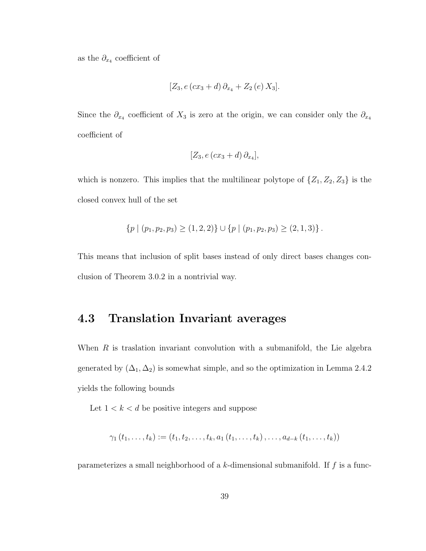as the  $\partial_{x_4}$  coefficient of

$$
[Z_3, e (cx_3 + d) \partial_{x_4} + Z_2 (e) X_3].
$$

Since the  $\partial_{x_4}$  coefficient of  $X_3$  is zero at the origin, we can consider only the  $\partial_{x_4}$ coefficient of

$$
[Z_3, e(cx_3+d)\partial_{x_4}],
$$

which is nonzero. This implies that the multilinear polytope of  $\{Z_1, Z_2, Z_3\}$  is the closed convex hull of the set

$$
\{p \mid (p_1, p_2, p_3) \ge (1, 2, 2)\} \cup \{p \mid (p_1, p_2, p_3) \ge (2, 1, 3)\}.
$$

This means that inclusion of split bases instead of only direct bases changes conclusion of Theorem 3.0.2 in a nontrivial way.

### 4.3 Translation Invariant averages

When  $R$  is traslation invariant convolution with a submanifold, the Lie algebra generated by  $(\Delta_1, \Delta_2)$  is somewhat simple, and so the optimization in Lemma 2.4.2 yields the following bounds

Let  $1 < k < d$  be positive integers and suppose

$$
\gamma_1(t_1,\ldots,t_k) := (t_1,t_2,\ldots,t_k,a_1(t_1,\ldots,t_k),\ldots,a_{d-k}(t_1,\ldots,t_k))
$$

parameterizes a small neighborhood of a  $k$ -dimensional submanifold. If  $f$  is a func-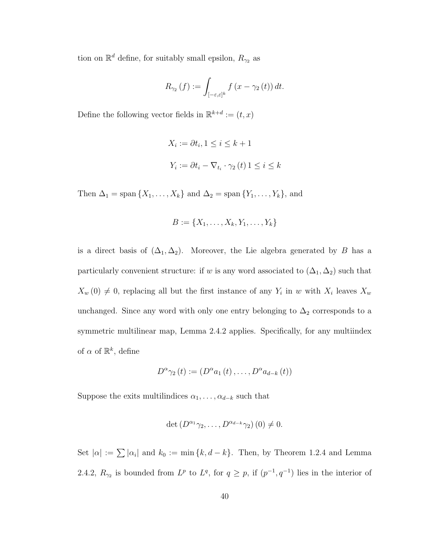tion on  $\mathbb{R}^d$  define, for suitably small epsilon,  $R_{\gamma_2}$  as

$$
R_{\gamma_2}\left(f\right) := \int_{\left[-\varepsilon,\varepsilon\right]^k} f\left(x - \gamma_2\left(t\right)\right) dt.
$$

Define the following vector fields in  $\mathbb{R}^{k+d} := (t, x)$ 

$$
X_i := \partial t_i, 1 \le i \le k + 1
$$
  

$$
Y_i := \partial t_i - \nabla_{t_i} \cdot \gamma_2(t) 1 \le i \le k
$$

Then  $\Delta_1$  = span { $X_1, \ldots, X_k$ } and  $\Delta_2$  = span { $Y_1, \ldots, Y_k$ }, and

$$
B := \{X_1, \ldots, X_k, Y_1, \ldots, Y_k\}
$$

is a direct basis of  $(\Delta_1, \Delta_2)$ . Moreover, the Lie algebra generated by B has a particularly convenient structure: if w is any word associated to  $(\Delta_1, \Delta_2)$  such that  $X_w(0) \neq 0$ , replacing all but the first instance of any  $Y_i$  in w with  $X_i$  leaves  $X_w$ unchanged. Since any word with only one entry belonging to  $\Delta_2$  corresponds to a symmetric multilinear map, Lemma 2.4.2 applies. Specifically, for any multiindex of  $\alpha$  of  $\mathbb{R}^k$ , define

$$
D^{\alpha}\gamma_2(t) := (D^{\alpha}a_1(t), \ldots, D^{\alpha}a_{d-k}(t))
$$

Suppose the exits multilindices  $\alpha_1, \ldots, \alpha_{d-k}$  such that

$$
\det\left(D^{\alpha_1}\gamma_2,\ldots,D^{\alpha_{d-k}}\gamma_2\right)(0)\neq 0.
$$

Set  $|\alpha| := \sum |\alpha_i|$  and  $k_0 := \min\{k, d - k\}$ . Then, by Theorem 1.2.4 and Lemma 2.4.2,  $R_{\gamma_2}$  is bounded from  $L^p$  to  $L^q$ , for  $q \geq p$ , if  $(p^{-1}, q^{-1})$  lies in the interior of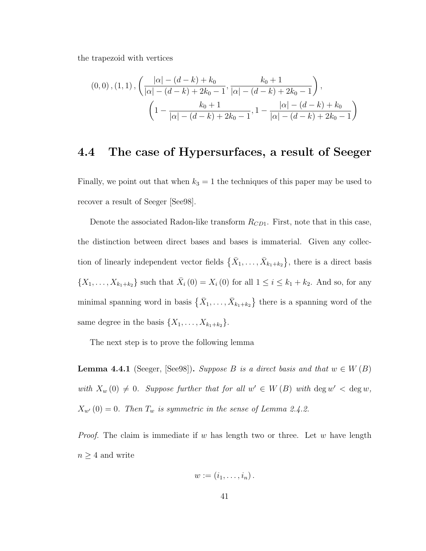the trapezoid with vertices

$$
(0,0), (1,1), \left(\frac{|\alpha| - (d-k) + k_0}{|\alpha| - (d-k) + 2k_0 - 1}, \frac{k_0 + 1}{|\alpha| - (d-k) + 2k_0 - 1}\right),\newline \left(1 - \frac{k_0 + 1}{|\alpha| - (d-k) + 2k_0 - 1}, 1 - \frac{|\alpha| - (d-k) + k_0}{|\alpha| - (d-k) + 2k_0 - 1}\right)
$$

#### 4.4 The case of Hypersurfaces, a result of Seeger

Finally, we point out that when  $k_3 = 1$  the techniques of this paper may be used to recover a result of Seeger [See98].

Denote the associated Radon-like transform  $R_{CD1}$ . First, note that in this case, the distinction between direct bases and bases is immaterial. Given any collection of linearly independent vector fields  $\{\bar{X}_1, \ldots, \bar{X}_{k_1+k_2}\}\$ , there is a direct basis  $\{X_1, \ldots, X_{k_1+k_2}\}\$  such that  $\bar{X}_i(0) = X_i(0)$  for all  $1 \le i \le k_1+k_2$ . And so, for any minimal spanning word in basis  $\{\bar{X}_1, \ldots, \bar{X}_{k_1+k_2}\}\$  there is a spanning word of the same degree in the basis  $\{X_1, \ldots, X_{k_1+k_2}\}.$ 

The next step is to prove the following lemma

**Lemma 4.4.1** (Seeger, [See98]). Suppose B is a direct basis and that  $w \in W(B)$ with  $X_w(0) \neq 0$ . Suppose further that for all  $w' \in W(B)$  with  $\deg w' < \deg w$ ,  $X_{w'}(0) = 0$ . Then  $T_w$  is symmetric in the sense of Lemma 2.4.2.

*Proof.* The claim is immediate if w has length two or three. Let w have length  $n \geq 4$  and write

$$
w:=(i_1,\ldots,i_n).
$$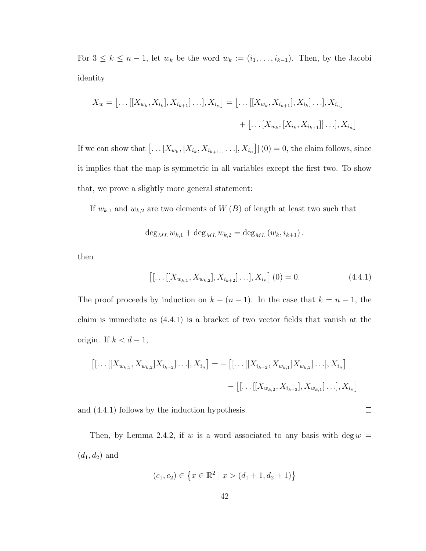For  $3 \leq k \leq n-1$ , let  $w_k$  be the word  $w_k := (i_1, \ldots, i_{k-1})$ . Then, by the Jacobi identity

$$
X_w = [\dots[[X_{w_k}, X_{i_k}], X_{i_{k+1}}] \dots], X_{i_n}] = [\dots[[X_{w_k}, X_{i_{k+1}}], X_{i_k}] \dots], X_{i_n}]
$$
  
+  $[\dots[X_{w_k}, [X_{i_k}, X_{i_{k+1}}]] \dots], X_{i_n}]$ 

If we can show that  $\left[\ldots[X_{w_k},[X_{i_k},X_{i_{k+1}}]]\ldots],X_{i_n}\right](0) = 0$ , the claim follows, since it implies that the map is symmetric in all variables except the first two. To show that, we prove a slightly more general statement:

If  $w_{k,1}$  and  $w_{k,2}$  are two elements of  $W(B)$  of length at least two such that

$$
\deg_{ML} w_{k,1} + \deg_{ML} w_{k,2} = \deg_{ML} (w_k, i_{k+1}).
$$

then

$$
\left[ [\ldots[[X_{w_{k,1}}, X_{w_{k,2}}], X_{i_{k+2}}] \ldots], X_{i_n} \right] (0) = 0.
$$
 (4.4.1)

 $\Box$ 

The proof proceeds by induction on  $k - (n - 1)$ . In the case that  $k = n - 1$ , the claim is immediate as (4.4.1) is a bracket of two vector fields that vanish at the origin. If  $k < d-1$ ,

$$
\begin{aligned} [[\ldots[[X_{w_{k,1}}, X_{w_{k,2}}]X_{i_{k+2}}] \ldots], X_{i_n}] &= -\left[ [\ldots[[X_{i_{k+2}}, X_{w_{k,1}}]X_{w_{k,2}}] \ldots], X_{i_n} \right] \\ &- \left[ [\ldots[[X_{w_{k,2}}, X_{i_{k+2}}], X_{w_{k,1}}] \ldots], X_{i_n} \right] \end{aligned}
$$

and (4.4.1) follows by the induction hypothesis.

Then, by Lemma 2.4.2, if w is a word associated to any basis with deg  $w =$  $(d_1, d_2)$  and

$$
(c_1, c_2) \in \left\{ x \in \mathbb{R}^2 \mid x > (d_1 + 1, d_2 + 1) \right\}
$$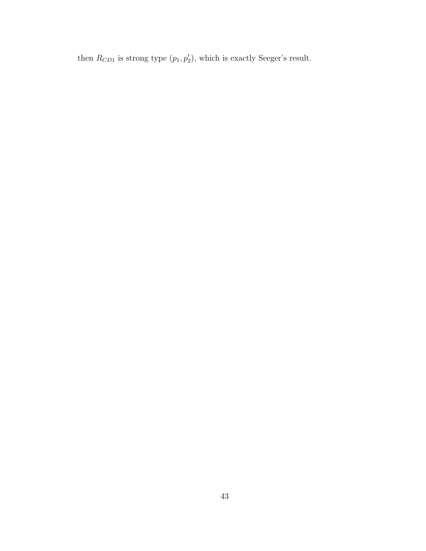then  $R_{CD1}$  is strong type  $(p_1, p_2)$ , which is exactly Seeger's result.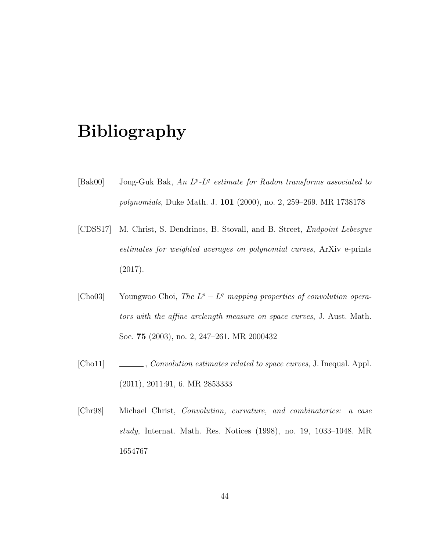## Bibliography

- [Bak00] Jong-Guk Bak, An  $L^p$ - $L^q$  estimate for Radon transforms associated to polynomials, Duke Math. J. 101 (2000), no. 2, 259–269. MR 1738178
- [CDSS17] M. Christ, S. Dendrinos, B. Stovall, and B. Street, Endpoint Lebesgue estimates for weighted averages on polynomial curves, ArXiv e-prints (2017).
- [Cho03] Youngwoo Choi, The  $L^p L^q$  mapping properties of convolution operators with the affine arclength measure on space curves, J. Aust. Math. Soc. 75 (2003), no. 2, 247–261. MR 2000432
- [Cho11] , Convolution estimates related to space curves, J. Inequal. Appl. (2011), 2011:91, 6. MR 2853333
- [Chr98] Michael Christ, Convolution, curvature, and combinatorics: a case study, Internat. Math. Res. Notices (1998), no. 19, 1033–1048. MR 1654767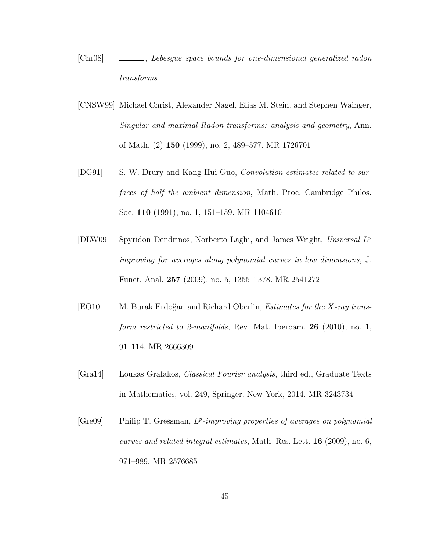- [Chr08] , Lebesgue space bounds for one-dimensional generalized radon transforms.
- [CNSW99] Michael Christ, Alexander Nagel, Elias M. Stein, and Stephen Wainger, Singular and maximal Radon transforms: analysis and geometry, Ann. of Math. (2) 150 (1999), no. 2, 489–577. MR 1726701
- [DG91] S. W. Drury and Kang Hui Guo, *Convolution estimates related to sur*faces of half the ambient dimension, Math. Proc. Cambridge Philos. Soc. 110 (1991), no. 1, 151–159. MR 1104610
- [DLW09] Spyridon Dendrinos, Norberto Laghi, and James Wright, Universal L<sup>P</sup> improving for averages along polynomial curves in low dimensions, J. Funct. Anal. 257 (2009), no. 5, 1355–1378. MR 2541272
- [EO10] M. Burak Erdoğan and Richard Oberlin, *Estimates for the X-ray trans*form restricted to 2-manifolds, Rev. Mat. Iberoam.  $26$  (2010), no. 1, 91–114. MR 2666309
- [Gra14] Loukas Grafakos, Classical Fourier analysis, third ed., Graduate Texts in Mathematics, vol. 249, Springer, New York, 2014. MR 3243734
- $[Gre09]$  Philip T. Gressman,  $L^p$ -improving properties of averages on polynomial curves and related integral estimates, Math. Res. Lett. 16 (2009), no. 6, 971–989. MR 2576685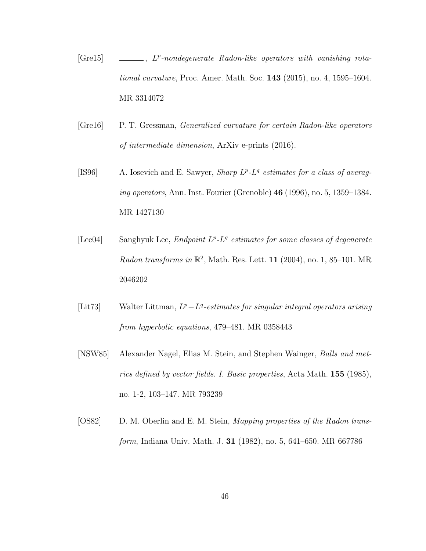- $[Grel5] \quad \_\_$ ,  $L^p$ -nondegenerate Radon-like operators with vanishing rotational curvature, Proc. Amer. Math. Soc. 143 (2015), no. 4, 1595–1604. MR 3314072
- [Gre16] P. T. Gressman, Generalized curvature for certain Radon-like operators of intermediate dimension, ArXiv e-prints (2016).
- [IS96] A. Iosevich and E. Sawyer, *Sharp*  $L^p$ *-L<sup>q</sup> estimates for a class of averag*ing operators, Ann. Inst. Fourier (Grenoble) 46 (1996), no. 5, 1359–1384. MR 1427130
- [Lee04] Sanghyuk Lee, *Endpoint*  $L^p$ *-L<sup>q</sup>* estimates for some classes of degenerate Radon transforms in  $\mathbb{R}^2$ , Math. Res. Lett. 11 (2004), no. 1, 85–101. MR 2046202
- [Lit73] Walter Littman,  $L^p L^q$ -estimates for singular integral operators arising from hyperbolic equations, 479–481. MR 0358443
- [NSW85] Alexander Nagel, Elias M. Stein, and Stephen Wainger, Balls and metrics defined by vector fields. I. Basic properties, Acta Math. 155 (1985), no. 1-2, 103–147. MR 793239
- [OS82] D. M. Oberlin and E. M. Stein, *Mapping properties of the Radon trans*form, Indiana Univ. Math. J. 31 (1982), no. 5, 641–650. MR 667786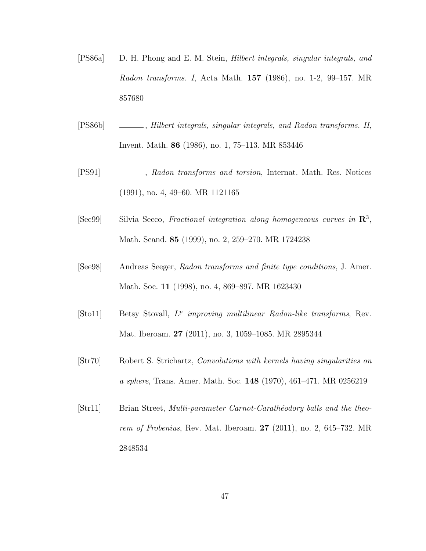- [PS86a] D. H. Phong and E. M. Stein, Hilbert integrals, singular integrals, and Radon transforms. I, Acta Math. 157 (1986), no. 1-2, 99–157. MR 857680
- [PS86b] , Hilbert integrals, singular integrals, and Radon transforms. II, Invent. Math. 86 (1986), no. 1, 75–113. MR 853446
- [PS91] , Radon transforms and torsion, Internat. Math. Res. Notices (1991), no. 4, 49–60. MR 1121165
- $[Sec99]$  Silvia Secco, Fractional integration along homogeneous curves in  $\mathbb{R}^3$ , Math. Scand. 85 (1999), no. 2, 259–270. MR 1724238
- [See98] Andreas Seeger, Radon transforms and finite type conditions, J. Amer. Math. Soc. 11 (1998), no. 4, 869–897. MR 1623430
- $[Sto11]$  Betsy Stovall,  $L^p$  improving multilinear Radon-like transforms, Rev. Mat. Iberoam. 27 (2011), no. 3, 1059–1085. MR 2895344
- [Str70] Robert S. Strichartz, Convolutions with kernels having singularities on a sphere, Trans. Amer. Math. Soc. 148 (1970), 461–471. MR 0256219
- [Str11] Brian Street, *Multi-parameter Carnot-Carathéodory balls and the theo*rem of Frobenius, Rev. Mat. Iberoam. 27 (2011), no. 2, 645–732. MR 2848534